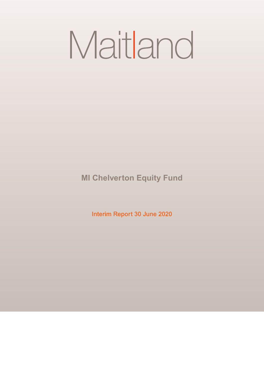# Maitland

**MI Chelverton Equity Fund**

**Interim Report 30 June 2020**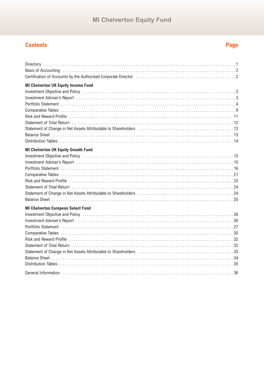## **Contents**

# Page

| Certification of Accounts by the Authorised Corporate Director (and account in the content of Accounts by the Authorised Corporate Director (and accounts and accounts 2)                                                      |
|--------------------------------------------------------------------------------------------------------------------------------------------------------------------------------------------------------------------------------|
| <b>MI Chelverton UK Equity Income Fund</b>                                                                                                                                                                                     |
| Investment Objective and Policy (and according to the control of the control of the control of the control of the control of the control of the control of the control of the control of the control of the control of the con |
|                                                                                                                                                                                                                                |
|                                                                                                                                                                                                                                |
|                                                                                                                                                                                                                                |
|                                                                                                                                                                                                                                |
|                                                                                                                                                                                                                                |
|                                                                                                                                                                                                                                |
|                                                                                                                                                                                                                                |
|                                                                                                                                                                                                                                |
| <b>MI Chelverton UK Equity Growth Fund</b>                                                                                                                                                                                     |
| Investment Objective and Policy (and accommodation of the contract of the contract of the contract of the cont                                                                                                                 |
|                                                                                                                                                                                                                                |
|                                                                                                                                                                                                                                |
|                                                                                                                                                                                                                                |
|                                                                                                                                                                                                                                |
|                                                                                                                                                                                                                                |
|                                                                                                                                                                                                                                |
|                                                                                                                                                                                                                                |
| <b>MI Chelverton European Select Fund</b>                                                                                                                                                                                      |
| Investment Objective and Policy (and according to the control of the control of the control of the control of the control of the control of the control of the control of the control of the control of the control of the con |
|                                                                                                                                                                                                                                |
|                                                                                                                                                                                                                                |
|                                                                                                                                                                                                                                |
|                                                                                                                                                                                                                                |
|                                                                                                                                                                                                                                |
|                                                                                                                                                                                                                                |
|                                                                                                                                                                                                                                |
|                                                                                                                                                                                                                                |
|                                                                                                                                                                                                                                |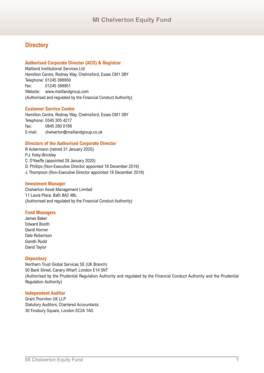## **Directory**

#### **Authorised Corporate Director (ACD) & Registrar**

Maitland Institutional Services Ltd Hamilton Centre, Rodney Way, Chelmsford, Essex CM1 3BY Telephone: 01245 398950 Fax: 01245 398951 Website: www.maitlandgroup.com (Authorised and regulated by the Financial Conduct Authority)

#### **Customer Service Centre**

Hamilton Centre, Rodney Way, Chelmsford, Essex CM1 3BY Telephone: 0345 305 4217 Fax: 0845 280 0188 E-mail: chelverton@maitlandgroup.co.uk

#### **Directors of the Authorised Corporate Director**

R Ackermann (retired 31 January 2020) P.J. Foley-Brickley C. O'Keeffe (appointed 28 January 2020) D. Phillips (Non-Executive Director appointed 18 December 2019) J. Thompson (Non-Executive Director appointed 18 December 2019)

#### **Investment Manager**

Chelverton Asset Management Limited 11 Laura Place, Bath BA2 4BL (Authorised and regulated by the Financial Conduct Authority)

#### **Fund Managers**

James Baker Edward Booth David Horner Dale Robertson Gareth Rudd David Taylor

#### **Depositary**

Northern Trust Global Services SE (UK Branch) 50 Bank Street, Canary Wharf, London E14 5NT (Authorised by the Prudential Regulation Authority and regulated by the Financial Conduct Authority and the Prudential Regulation Authority)

#### **Independent Auditor**

Grant Thornton UK LLP Statutory Auditors, Chartered Accountants 30 Finsbury Square, London EC2A 1AG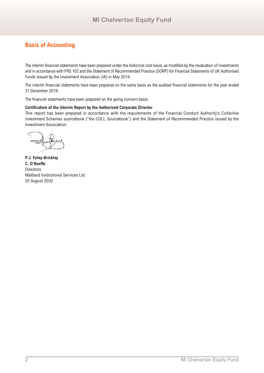## **Basis of Accounting**

The interim financial statements have been prepared under the historical cost basis, as modified by the revaluation of investments and in accordance with FRS 102 and the Statement of Recommended Practice (SORP) for Financial Statements of UK Authorised Funds issued by the Investment Association (IA) in May 2014.

The interim financial statements have been prepared on the same basis as the audited financial statements for the year ended 31 December 2019.

The financial statements have been prepared on the going concern basis.

#### **Certification of the Interim Report by the Authorised Corporate Director**

This report has been prepared in accordance with the requirements of the Financial Conduct Authority's Collective Investment Schemes sourcebook ("the COLL Sourcebook") and the Statement of Recommended Practice issued by the Investment Association.

**P.J. Foley-Brickley C. O'Keeffe Directors** Maitland Institutional Services Ltd 25 August 2020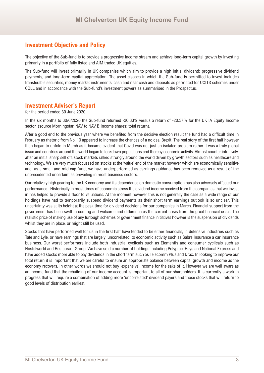## **Investment Objective and Policy**

The objective of the Sub-fund is to provide a progressive income stream and achieve long-term capital growth by investing primarily in a portfolio of fully listed and AIM traded UK equities.

The Sub-fund will invest primarily in UK companies which aim to provide a high initial dividend; progressive dividend payments, and long-term capital appreciation. The asset classes in which the Sub-fund is permitted to invest includes transferable securities, money market instruments, cash and near cash and deposits as permitted for UCITS schemes under COLL and in accordance with the Sub-fund's investment powers as summarised in the Prospectus.

## **Investment Adviser's Report**

for the period ended 30 June 2020

In the six months to 30/6/2020 the Sub-fund returned -30.33% versus a return of -20.37% for the UK IA Equity Income sector. (source Morningstar. NAV to NAV B Income shares: total return).

After a good end to the previous year where we benefited from the decisive election result the fund had a difficult time in February as rhetoric from No. 10 appeared to increase the chances of a no deal Brexit. The real story of the first half however then began to unfold in March as it became evident that Covid was not just an isolated problem rather it was a truly global issue and countries around the world began to lockdown populations and thereby economic activity. Almost counter intuitively, after an initial sharp sell off, stock markets rallied strongly around the world driven by growth sectors such as healthcare and technology. We are very much focussed on stocks at the 'value' end of the market however which are economically sensitive and, as a small and mid cap fund, we have underperformed as earnings guidance has been removed as a result of the unprecedented uncertainties prevailing in most business sectors.

Our relatively high gearing to the UK economy and its dependence on domestic consumption has also adversely affected our performance.. Historically in most times of economic stress the dividend income received from the companies that we invest in has helped to provide a floor to valuations. At the moment however this is not generally the case as a wide range of our holdings have had to temporarily suspend dividend payments as their short term earnings outlook is so unclear. This uncertainty was at its height at the peak time for dividend decisions for our companies in March. Financial support from the government has been swift in coming and welcome and differentiates the current crisis from the great financial crisis. The realistic price of making use of any furlough schemes or government finance initiatives however is the suspension of dividends whilst they are in place, or might still be used.

Stocks that have performed well for us in the first half have tended to be either financials, in defensive industries such as Tate and Lyle, or have earnings that are largely 'uncorrelated' to economic activity such as Sabre Insurance a car insurance business. Our worst performers include both industrial cyclicals such as Elementis and consumer cyclicals such as Hostelworld and Restaurant Group. We have sold a number of holdings including Polypipe, Hays and National Express and have added stocks more able to pay dividends in the short term such as Telecomm Plus and Drax. In looking to improve our total return it is important that we are careful to ensure an appropriate balance between capital growth and income as the economy recovers. In other words we should not buy 'expensive' income for the sake of it. However we are well aware as an income fund that the rebuilding of our income account is important to all of our shareholders. It is currently a work in progress that will require a combination of adding more 'uncorrelated' dividend payers and those stocks that will return to good levels of distribution earliest.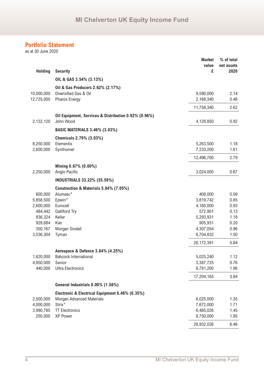as at 30 June 2020

|                |                                                      | <b>Market</b><br>value | % of total<br>net assets |
|----------------|------------------------------------------------------|------------------------|--------------------------|
| <b>Holding</b> | <b>Security</b>                                      | £                      | 2020                     |
|                | OIL & GAS 3.54% (3.13%)                              |                        |                          |
|                | Oil & Gas Producers 2.62% (2.17%)                    |                        |                          |
| 10,000,000     | Diversified Gas & Oil                                | 9,590,000              | 2.14                     |
| 12,725,000     | <b>Pharos Energy</b>                                 | 2,168,340              | 0.48                     |
|                |                                                      | 11,758,340             | 2.62                     |
|                | Oil Equipment, Services & Distribution 0.92% (0.96%) |                        |                          |
| 2,132,120      | John Wood                                            | 4,128,850              | 0.92                     |
|                | <b>BASIC MATERIALS 3.46% (3.03%)</b>                 |                        |                          |
|                | Chemicals 2.79% (3.03%)                              |                        |                          |
| 8,250,000      | Elementis                                            | 5,263,500              | 1.18                     |
| 2,600,000      | Synthomer                                            | 7,233,200              | 1.61                     |
|                |                                                      | 12,496,700             | 2.79                     |
|                |                                                      |                        |                          |
|                | Mining 0.67% (0.00%)                                 |                        |                          |
| 2,250,000      | Anglo Pacific                                        | 3,024,000              | 0.67                     |
|                | <b>INDUSTRIALS 33.22% (35.59%)</b>                   |                        |                          |
|                | Construction & Materials 5.84% (7.05%)               |                        |                          |
| 600,000        | Alumasc*                                             | 408,000                | 0.09                     |
| 5,858,500      | Epwin*                                               | 3,819,742              | 0.85                     |
| 2,600,000      | Eurocell                                             | 4,160,000              | 0.93                     |
| 484,442        | <b>Galliford Try</b>                                 | 572,901                | 0.13                     |
| 836,324        | Keller                                               | 5,293,931              | 1.18                     |
| 928,684        | Kier                                                 | 905,931                | 0.20                     |
| 350,167        | Morgan Sindall                                       | 4,307,054              | 0.96                     |
| 3,536,304      | Tyman                                                | 6,704,832              | 1.50                     |
|                |                                                      | 26, 172, 391           | 5.84                     |
|                | Aerospace & Defence 3.84% (4.25%)                    |                        |                          |
| 1,620,000      | <b>Babcock International</b>                         | 5,025,240              | 1.12                     |
| 4,850,000      | Senior                                               | 3,387,725              | 0.76                     |
| 440,000        | <b>Ultra Electronics</b>                             | 8,791,200              | 1.96                     |
|                |                                                      | 17,204,165             | 3.84                     |
|                | General Industrials 0.00% (1.58%)                    |                        |                          |
|                | Electronic & Electrical Equipment 6.46% (6.35%)      |                        |                          |
| 2,500,000      | <b>Morgan Advanced Materials</b>                     | 6,025,000              | 1.35                     |
| 4,000,000      | Strix*                                               | 7,672,000              | 1.71                     |
| 3,990,785      | <b>TT Electronics</b>                                | 6,485,026              | 1.45                     |
| 250,000        | XP Power                                             | 8,750,000              | 1.95                     |
|                |                                                      | 28,932,026             | 6.46                     |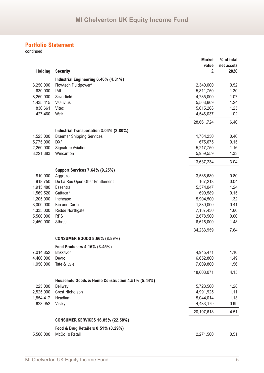|                |                                                   | <b>Market</b><br>value | % of total<br>net assets |
|----------------|---------------------------------------------------|------------------------|--------------------------|
| <b>Holding</b> | <b>Security</b>                                   | £                      | 2020                     |
|                | Industrial Engineering 6.40% (4.31%)              |                        |                          |
| 3,250,000      | Flowtech Fluidpower*                              | 2,340,000              | 0.52                     |
| 630,000        | IMI                                               | 5,811,750              | 1.30                     |
| 8,250,000      | Severfield                                        | 4,785,000              | 1.07                     |
| 1,435,415      | Vesuvius                                          | 5,563,669              | 1.24                     |
| 830,661        | Vitec                                             | 5,615,268              | 1.25                     |
| 427,460        | Weir                                              | 4,546,037              | 1.02                     |
|                |                                                   | 28,661,724             | 6.40                     |
|                | Industrial Transportation 3.04% (2.80%)           |                        |                          |
| 1,525,000      | <b>Braemar Shipping Services</b>                  | 1,784,250              | 0.40                     |
| 5,775,000      | DX*                                               | 675,675                | 0.15                     |
| 2,250,000      | <b>Signature Aviation</b>                         | 5,217,750              | 1.16                     |
| 3,221,383      | Wincanton                                         | 5,959,559              | 1.33                     |
|                |                                                   | 13,637,234             | 3.04                     |
|                | <b>Support Services 7.64% (9.25%)</b>             |                        |                          |
| 810,000        | Aggreko                                           | 3,586,680              | 0.80                     |
| 918,750        | De La Rue Open Offer Entitlement                  | 167,213                | 0.04                     |
| 1,915,480      | Essentra                                          | 5,574,047              | 1.24                     |
| 1,569,520      | Gattaca*                                          | 690,589                | 0.15                     |
| 1,205,000      | Inchcape                                          | 5,904,500              | 1.32                     |
| 3,000,000      | Kin and Carta                                     | 1,830,000              | 0.41                     |
| 4,335,000      | Redde Northgate                                   | 7,187,430              | 1.60                     |
| 5,500,000      | <b>RPS</b>                                        | 2,678,500              | 0.60                     |
| 2,450,000      | <b>Sthree</b>                                     | 6,615,000              | 1.48                     |
|                |                                                   | 34,233,959             | 7.64                     |
|                | <b>CONSUMER GOODS 8.66% (8.89%)</b>               |                        |                          |
|                | Food Producers 4.15% (3.45%)                      |                        |                          |
| 7,014,852      | Bakkavor                                          | 4,945,471              | 1.10                     |
| 4,400,000      | Devro                                             | 6,652,800              | 1.49                     |
| 1,050,000      | Tate & Lyle                                       | 7,009,800              | 1.56                     |
|                |                                                   | 18,608,071             | 4.15                     |
|                | Household Goods & Home Construction 4.51% (5.44%) |                        |                          |
| 225,000        | Bellway                                           | 5,728,500              | 1.28                     |
| 2,525,000      | <b>Crest Nicholson</b>                            | 4,991,925              | 1.11                     |
| 1,854,417      | Headlam                                           | 5,044,014              | 1.13                     |
| 623,952        | Vistry                                            | 4,433,179              | 0.99                     |
|                |                                                   | 20,197,618             | 4.51                     |
|                | <b>CONSUMER SERVICES 16.85% (22.58%)</b>          |                        |                          |
|                | Food & Drug Retailers 0.51% (0.29%)               |                        |                          |
| 5,500,000      | McColl's Retail                                   | 2,271,500              | 0.51                     |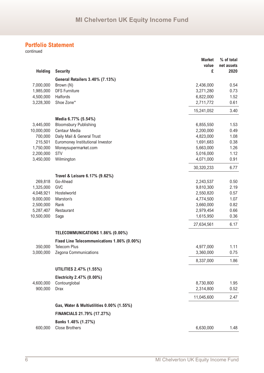|                |                                             | <b>Market</b> | % of total |
|----------------|---------------------------------------------|---------------|------------|
|                |                                             | value         | net assets |
| <b>Holding</b> | <b>Security</b>                             | £             | 2020       |
|                | General Retailers 3.40% (7.13%)             |               |            |
| 7,000,000      | Brown (N)                                   | 2,436,000     | 0.54       |
| 1,985,000      | <b>DFS Furniture</b>                        | 3,271,280     | 0.73       |
| 4,500,000      | Halfords                                    | 6,822,000     | 1.52       |
| 3,228,300      | Shoe Zone*                                  | 2,711,772     | 0.61       |
|                |                                             | 15,241,052    | 3.40       |
|                | Media 6.77% (5.54%)                         |               |            |
| 3,445,000      | <b>Bloomsbury Publishing</b>                | 6,855,550     | 1.53       |
| 10,000,000     | <b>Centaur Media</b>                        | 2,200,000     | 0.49       |
| 700,000        | Daily Mail & General Trust                  | 4,823,000     | 1.08       |
| 215,501        | Euromoney Institutional Investor            | 1,691,683     | 0.38       |
| 1,750,000      | Moneysupermarket.com                        | 5,663,000     | 1.26       |
| 2,200,000      | <b>STV</b>                                  | 5,016,000     | 1.12       |
| 3,450,000      | Wilmington                                  | 4,071,000     | 0.91       |
|                |                                             | 30,320,233    | 6.77       |
|                | Travel & Leisure 6.17% (9.62%)              |               |            |
| 269,818        | Go-Ahead                                    | 2,243,537     | 0.50       |
| 1,325,000      | GVC                                         | 9,810,300     | 2.19       |
| 4,048,921      | Hostelworld                                 | 2,550,820     | 0.57       |
| 9,000,000      | Marston's                                   | 4,774,500     | 1.07       |
| 2,500,000      | Rank                                        | 3,660,000     | 0.82       |
| 5,287,407      | Restaurant                                  | 2,979,454     | 0.66       |
| 10,500,000     | Saga                                        | 1,615,950     | 0.36       |
|                |                                             | 27,634,561    | 6.17       |
|                | TELECOMMUNICATIONS 1.86% (0.00%)            |               |            |
|                | Fixed Line Telecommunications 1.86% (0.00%) |               |            |
| 350,000        | <b>Telecom Plus</b>                         | 4,977,000     | 1.11       |
| 3,000,000      | Zegona Communications                       | 3,360,000     | 0.75       |
|                |                                             | 8,337,000     | 1.86       |
|                | UTILITIES 2.47% (1.55%)                     |               |            |
|                | Electricity 2.47% (0.00%)                   |               |            |
| 4,600,000      | Contourglobal                               | 8,730,800     | 1.95       |
| 900,000        | <b>Drax</b>                                 | 2,314,800     | 0.52       |
|                |                                             | 11,045,600    | 2.47       |
|                | Gas, Water & Multiutilities 0.00% (1.55%)   |               |            |
|                | FINANCIALS 21.79% (17.27%)                  |               |            |
|                | Banks 1.48% (1.27%)                         |               |            |
| 600,000        | <b>Close Brothers</b>                       | 6,630,000     | 1.48       |
|                |                                             |               |            |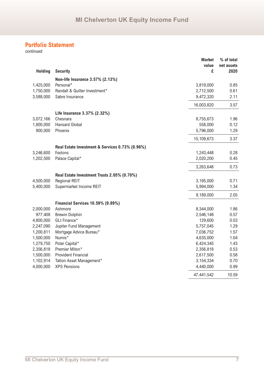|                |                                                 | <b>Market</b><br>value | % of total<br>net assets |
|----------------|-------------------------------------------------|------------------------|--------------------------|
| <b>Holding</b> | <b>Security</b>                                 | £                      | 2020                     |
|                | Non-life Insurance 3.57% (2.13%)                |                        |                          |
| 1,425,000      | Personal*                                       | 3,819,000              | 0.85                     |
| 1,750,000      | Randall & Quilter Investment*                   | 2,712,500              | 0.61                     |
| 3,588,000      | Sabre Insurance                                 | 9,472,320              | 2.11                     |
|                |                                                 | 16,003,820             | 3.57                     |
|                | Life Insurance 3.37% (2.32%)                    |                        |                          |
| 3,072,166      | Chesnara                                        | 8,755,673              | 1.96                     |
| 1,800,000      | <b>Hansard Global</b>                           | 558,000                | 0.12                     |
| 900,000        | Phoenix                                         | 5,796,000              | 1.29                     |
|                |                                                 | 15,109,673             | 3.37                     |
|                | Real Estate Investment & Services 0.73% (0.96%) |                        |                          |
| 3,246,600      | Foxtons                                         | 1,243,448              | 0.28                     |
| 1,202,500      | Palace Capital*                                 | 2,020,200              | 0.45                     |
|                |                                                 | 3,263,648              | 0.73                     |
|                | Real Estate Investment Trusts 2.05% (0.70%)     |                        |                          |
| 4,500,000      | <b>Regional REIT</b>                            | 3,195,000              | 0.71                     |
| 5,400,000      | Supermarket Income REIT                         | 5,994,000              | 1.34                     |
|                |                                                 | 9,189,000              | 2.05                     |
|                | <b>Financial Services 10.59% (9.89%)</b>        |                        |                          |
| 2,000,000      | Ashmore                                         | 8,344,000              | 1.86                     |
| 977,408        | <b>Brewin Dolphin</b>                           | 2,546,148              | 0.57                     |
| 4,800,000      | GLI Finance*                                    | 129,600                | 0.03                     |
| 2,247,090      | Jupiter Fund Management                         | 5,757,045              | 1.29                     |
| 1,200,811      | Mortgage Advice Bureau*                         | 7,036,752              | 1.57                     |
| 1,500,000      | Numis*                                          | 4,635,000              | 1.04                     |
| 1,279,750      | Polar Capital*                                  | 6,424,345              | 1.43                     |
| 2,356,818      | Premier Miton*                                  | 2,356,818              | 0.53                     |
| 1,500,000      | <b>Provident Financial</b>                      | 2,617,500              | 0.58                     |
| 1,102,914      | Tatton Asset Management*                        | 3,154,334              | 0.70                     |
| 4,000,000      | <b>XPS Pensions</b>                             | 4,440,000              | 0.99                     |
|                |                                                 | 47,441,542             | 10.59                    |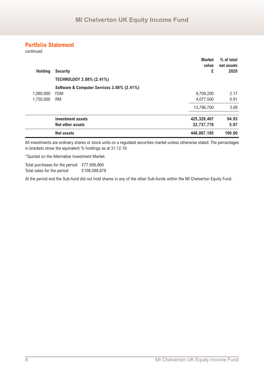continued

| <b>Holding</b> | <b>Security</b><br><b>TECHNOLOGY 3.08% (2.41%)</b> | <b>Market</b><br>value<br>£ | % of total<br>net assets<br>2020 |
|----------------|----------------------------------------------------|-----------------------------|----------------------------------|
|                | Software & Computer Services 3.08% (2.41%)         |                             |                                  |
| 1,080,000      | <b>FDM</b>                                         | 9,709,200                   | 2.17                             |
| 1,750,000      | <b>RM</b>                                          | 4,077,500                   | 0.91                             |
|                |                                                    | 13,786,700                  | 3.08                             |
|                | <b>Investment assets</b>                           | 425,329,407                 | 94.93                            |
|                | Net other assets                                   | 22,737,778                  | 5.07                             |
|                | <b>Net assets</b>                                  | 448,067,185                 | 100.00                           |

All investments are ordinary shares or stock units on a regulated securities market unless otherwise stated. The percentages in brackets show the equivalent % holdings as at 31.12.19.

\*Quoted on the Alternative Investment Market.

Total purchases for the period: £77,956,860 Total sales for the period: £108,589,879

At the period end the Sub-fund did not hold shares in any of the other Sub-funds within the MI Chelverton Equity Fund.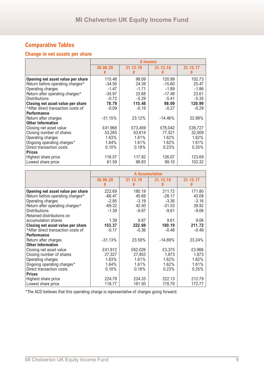## **Change in net assets per share**

|                                   |           | A Income |           |          |  |
|-----------------------------------|-----------|----------|-----------|----------|--|
|                                   | 30.06.20  | 31.12.19 | 31.12.18  | 31.12.17 |  |
| Opening net asset value per share | 115.48    | 98.09    | 120.99    | 102.73   |  |
| Return before operating charges^  | $-34.50$  | 24.39    | $-15.60$  | 25.47    |  |
| Operating charges                 | $-1.47$   | $-1.71$  | $-1.89$   | $-1.86$  |  |
| Return after operating charges^   | $-35.97$  | 22.68    | $-17.49$  | 23.61    |  |
| <b>Distributions</b>              | $-0.72$   | $-5.29$  | $-5.41$   | $-5.35$  |  |
| Closing net asset value per share | 78.79     | 115.48   | 98.09     | 120.99   |  |
| After direct transaction costs of | $-0.09$   | $-0.19$  | $-0.27$   | $-0.29$  |  |
| <b>Performance</b>                |           |          |           |          |  |
| Return after charges              | $-31.15%$ | 23.12%   | $-14.46%$ | 22.98%   |  |
| <b>Other Information</b>          |           |          |           |          |  |
| Closing net asset value           | £41,968   | £73,459  | £76,042   | £38,727  |  |
| Closing number of shares          | 53,265    | 63,614   | 77,521    | 32,009   |  |
| Operating charges                 | 1.63%     | 1.61%    | 1.62%     | 1.62%    |  |
| Ongoing operating charges*        | 1.64%     | 1.61%    | 1.62%     | 1.61%    |  |
| Direct transaction costs          | 0.10%     | 0.18%    | 0.23%     | 0.25%    |  |
| <b>Prices</b>                     |           |          |           |          |  |
| Highest share price               | 116.57    | 117.82   | 126.07    | 123.69   |  |
| Lowest share price                | 61.59     | 98.83    | 99.10     | 103.32   |  |

|                                             | <b>A Accumulation</b> |          |           |          |
|---------------------------------------------|-----------------------|----------|-----------|----------|
|                                             | 30.06.20              | 31.12.19 | 31.12.18  | 31.12.17 |
| Opening net asset value per share           | 222.69                | 180.19   | 211.72    | 171.80   |
| Return before operating charges^            | $-66.47$              | 45.69    | $-28.17$  | 43.08    |
| Operating charges                           | $-2.85$               | $-3.19$  | $-3.36$   | $-3.16$  |
| Return after operating charges <sup>^</sup> | $-69.32$              | 42.50    | $-31.53$  | 39.92    |
| <b>Distributions</b>                        | $-1.39$               | $-9.87$  | $-9.61$   | $-9.06$  |
| Retained distributions on                   |                       |          |           |          |
| accumulation shares                         | 1.39                  | 9.87     | 9.61      | 9.06     |
| Closing net asset value per share           | 153.37                | 222.69   | 180.19    | 211.72   |
| ^After direct transaction costs of          | $-0.17$               | $-0.36$  | $-0.48$   | $-0.49$  |
| <b>Performance</b>                          |                       |          |           |          |
| Return after charges                        | $-31.13%$             | 23.59%   | $-14.89%$ | 23.24%   |
| <b>Other Information</b>                    |                       |          |           |          |
| Closing net asset value                     | £41,912               | £62,026  | £3,375    | £3,966   |
| Closing number of shares                    | 27,327                | 27,853   | 1.873     | 1,873    |
| Operating charges                           | 1.63%                 | 1.61%    | 1.62%     | 1.62%    |
| Ongoing operating charges*                  | 1.64%                 | 1.61%    | 1.62%     | 1.61%    |
| Direct transaction costs                    | 0.10%                 | 0.18%    | 0.23%     | 0.25%    |
| <b>Prices</b>                               |                       |          |           |          |
| Highest share price                         | 224.78                | 224.33   | 222.13    | 212.79   |
| Lowest share price                          | 118.77                | 181.50   | 178.70    | 172.77   |

\*The ACD believes that this operating charge is representative of charges going forward.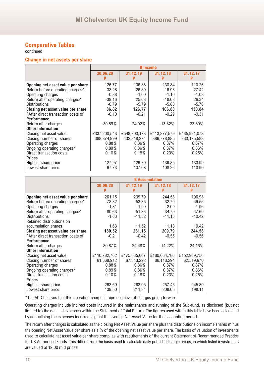continued

#### **Change in net assets per share**

|                                   |              |              | <b>B</b> Income |               |
|-----------------------------------|--------------|--------------|-----------------|---------------|
|                                   | 30.06.20     | 31.12.19     | 31.12.18        | 31.12.17      |
|                                   |              |              |                 |               |
| Opening net asset value per share | 126.77       | 106.88       | 130.84          | 110.26        |
| Return before operating charges^  | $-38.28$     | 26.89        | $-16.98$        | 27.42         |
| Operating charges                 | $-0.88$      | $-1.00$      | $-1.10$         | $-1.08$       |
| Return after operating charges^   | $-39.16$     | 25.68        | $-18.08$        | 26.34         |
| <b>Distributions</b>              | $-0.79$      | $-5.79$      | $-5.88$         | $-5.76$       |
| Closing net asset value per share | 86.82        | 126.77       | 106.88          | 130.84        |
| After direct transaction costs of | $-0.10$      | $-0.21$      | $-0.29$         | $-0.31$       |
| <b>Performance</b>                |              |              |                 |               |
| Return after charges              | $-30.89%$    | 24.02%       | $-13.82\%$      | 23.89%        |
| <b>Other Information</b>          |              |              |                 |               |
| Closing net asset value           | £337,200,543 | £548,703,173 | £413,377,579    | £435,921,073  |
| Closing number of shares          | 388,374,999  | 432,818,274  | 386,778,885     | 333, 175, 583 |
| Operating charges                 | 0.88%        | 0.86%        | 0.87%           | 0.87%         |
| Ongoing operating charges*        | 0.89%        | $0.86\%$     | $0.87\%$        | 0.86%         |
| Direct transaction costs          | 0.10%        | 0.18%        | 0.23%           | 0.25%         |
| <b>Prices</b>                     |              |              |                 |               |
| Highest share price               | 127.97       | 129.70       | 136.85          | 133.99        |
| Lowest share price                | 67.73        | 107.68       | 108.26          | 110.90        |

|                                              | <b>B</b> Accumulation |              |              |              |
|----------------------------------------------|-----------------------|--------------|--------------|--------------|
|                                              | 30.06.20              | 31.12.19     | 31.12.18     | 31.12.17     |
|                                              |                       |              |              |              |
| Opening net asset value per share            | 261.15                | 209.79       | 244.58       | 196.98       |
| Return before operating charges <sup>^</sup> | $-78.82$              | 53.35        | $-32.70$     | 49.56        |
| Operating charges                            | $-1.81$               | $-1.99$      | $-2.09$      | $-1.96$      |
| Return after operating charges <sup>^</sup>  | $-80.63$              | 51.36        | $-34.79$     | 47.60        |
| <b>Distributions</b>                         | $-1.63$               | $-11.52$     | $-11.13$     | $-10.42$     |
| Retained distributions on                    |                       |              |              |              |
| accumulation shares                          | 1.63                  | 11.52        | 11.13        | 10.42        |
| Closing net asset value per share            | 180.52                | 261.15       | 209.79       | 244.58       |
| After direct transaction costs of            | $-0.21$               | $-0.42$      | $-0.55$      | $-0.56$      |
| <b>Performance</b>                           |                       |              |              |              |
| Return after charges                         | $-30.87\%$            | 24.48%       | $-14.22%$    | 24.16%       |
| <b>Other Information</b>                     |                       |              |              |              |
| Closing net asset value                      | £110,782,762          | £175,865,607 | £180,664,786 | £152,909,756 |
| Closing number of shares                     | 61,368,912            | 67,343,222   | 86,118,294   | 62,519,670   |
| Operating charges                            | 0.88%                 | 0.86%        | 0.87%        | 0.87%        |
| Ongoing operating charges*                   | 0.89%                 | $0.86\%$     | 0.87%        | 0.86%        |
| Direct transaction costs                     | 0.10%                 | 0.18%        | 0.23%        | 0.25%        |
| <b>Prices</b>                                |                       |              |              |              |
| Highest share price                          | 263.60                | 263.05       | 257.45       | 245.80       |
| Lowest share price                           | 139.50                | 211.34       | 208.05       | 198.11       |

\*The ACD believes that this operating charge is representative of charges going forward.

Operating charges include indirect costs incurred in the maintenance and running of the Sub-fund, as disclosed (but not limited to) the detailed expenses within the Statement of Total Return. The figures used within this table have been calculated by annualising the expenses incurred against the average Net Asset Value for the accounting period.

The return after charges is calculated as the closing Net Asset Value per share plus the distributions on income shares minus the opening Net Asset Value per share as a % of the opening net asset value per share. The basis of valuation of investments used to calculate net asset value per share complies with requirements of the current Statement of Recommended Practice for UK Authorised Funds. This differs from the basis used to calculate daily published single prices, in which listed investments are valued at 12:00 mid prices.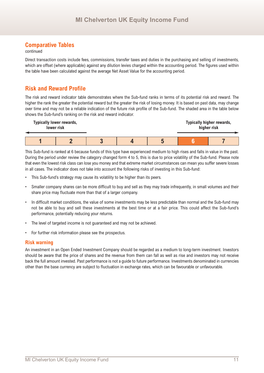#### continued

Direct transaction costs include fees, commissions, transfer taxes and duties in the purchasing and selling of investments, which are offset (where applicable) against any dilution levies charged within the accounting period. The figures used within the table have been calculated against the average Net Asset Value for the accounting period.

## **Risk and Reward Profile**

The risk and reward indicator table demonstrates where the Sub-fund ranks in terms of its potential risk and reward. The higher the rank the greater the potential reward but the greater the risk of losing money. It is based on past data, may change over time and may not be a reliable indication of the future risk profile of the Sub-fund. The shaded area in the table below shows the Sub-fund's ranking on the risk and reward indicator.



This Sub-fund is ranked at 6 because funds of this type have experienced medium to high rises and falls in value in the past. During the period under review the category changed form 4 to 5, this is due to price volatility of the Sub-fund. Please note that even the lowest risk class can lose you money and that extreme market circumstances can mean you suffer severe losses in all cases. The indicator does not take into account the following risks of investing in this Sub-fund:

- This Sub-fund's strategy may cause its volatility to be higher than its peers.
- Smaller company shares can be more difficult to buy and sell as they may trade infrequently, in small volumes and their share price may fluctuate more than that of a larger company.
- In difficult market conditions, the value of some investments may be less predictable than normal and the Sub-fund may not be able to buy and sell these investments at the best time or at a fair price. This could affect the Sub-fund's performance, potentially reducing your returns.
- The level of targeted income is not guaranteed and may not be achieved.
- For further risk information please see the prospectus.

#### **Risk warning**

An investment in an Open Ended Investment Company should be regarded as a medium to long-term investment. Investors should be aware that the price of shares and the revenue from them can fall as well as rise and investors may not receive back the full amount invested. Past performance is not a guide to future performance. Investments denominated in currencies other than the base currency are subject to fluctuation in exchange rates, which can be favourable or unfavourable.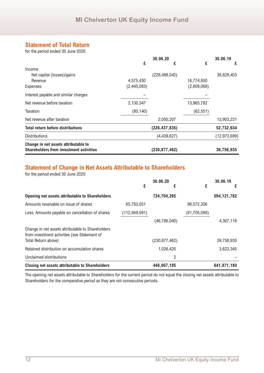## **Statement of Total Return**

for the period ended 30 June 2020

|                                                |             | 30.06.20        |             | 30.06.19       |
|------------------------------------------------|-------------|-----------------|-------------|----------------|
|                                                | £           | £               | £           | £              |
| Income                                         |             |                 |             |                |
| Net capital (losses)/gains                     |             | (228, 488, 042) |             | 38,829,403     |
| Revenue                                        | 4,575,430   |                 | 16,774,850  |                |
| Expenses                                       | (2,445,083) |                 | (2,809,068) |                |
| Interest payable and similar charges           |             |                 |             |                |
| Net revenue before taxation                    | 2,130,347   |                 | 13,965,782  |                |
| Taxation                                       | (80, 140)   |                 | (62, 551)   |                |
| Net revenue after taxation                     |             | 2,050,207       |             | 13,903,231     |
| <b>Total return before distributions</b>       |             | (226, 437, 835) |             | 52,732,634     |
| <b>Distributions</b>                           |             | (4,439,627)     |             | (12, 973, 699) |
| Change in net assets attributable to           |             |                 |             |                |
| <b>Shareholders from investment activities</b> |             | (230, 877, 462) |             | 39,758,935     |

## **Statement of Change in Net Assets Attributable to Shareholders**

for the period ended 30 June 2020

|                                                                                                   | 30.06.20        |                 | 30.06.19     |               |
|---------------------------------------------------------------------------------------------------|-----------------|-----------------|--------------|---------------|
|                                                                                                   | £               | £               | £            | £             |
| <b>Opening net assets attributable to Shareholders</b>                                            |                 | 724,704,265     |              | 594, 121, 782 |
| Amounts receivable on issue of shares                                                             | 65,783,051      |                 | 96,072,206   |               |
| Less: Amounts payable on cancellation of shares                                                   | (112, 569, 091) |                 | (91,705,088) |               |
|                                                                                                   |                 | (46,786,040)    |              | 4,367,118     |
| Change in net assets attributable to Shareholders<br>from investment activities (see Statement of |                 |                 |              |               |
| Total Return above)                                                                               |                 | (230, 877, 462) |              | 39,758,935    |
| Retained distribution on accumulation shares                                                      |                 | 1,026,420       |              | 3,623,345     |
| Unclaimed distributions                                                                           |                 | 2               |              |               |
| Closing net assets attributable to Shareholders                                                   |                 | 448,067,185     |              | 641,871,180   |

The opening net assets attributable to Shareholders for the current period do not equal the closing net assets attributable to Shareholders for the comparative period as they are not consecutive periods.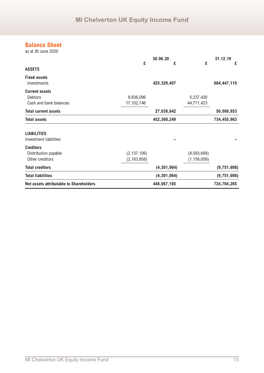## **Balance Sheet**

as at 30 June 2020

|                                                                   |                                | 30.06.20      |                              | 31.12.19      |
|-------------------------------------------------------------------|--------------------------------|---------------|------------------------------|---------------|
| <b>ASSETS</b>                                                     | £                              | £             | £                            | £             |
| <b>Fixed assets</b><br>Investments                                |                                | 425,329,407   |                              | 684,447,110   |
| <b>Current assets</b><br><b>Debtors</b><br>Cash and bank balances | 9,936,096<br>17,102,746        |               | 5,237,430<br>44,771,423      |               |
| <b>Total current assets</b>                                       |                                | 27,038,842    |                              | 50,008,853    |
| <b>Total assets</b>                                               |                                | 452,368,249   |                              | 734,455,963   |
| <b>LIABILITIES</b><br>Investment liabilities                      |                                |               |                              |               |
| <b>Creditors</b><br>Distribution payable<br>Other creditors       | (2, 137, 106)<br>(2, 163, 958) |               | (8,593,689)<br>(1, 158, 009) |               |
| <b>Total creditors</b>                                            |                                | (4, 301, 064) |                              | (9, 751, 698) |
| <b>Total liabilities</b>                                          |                                | (4, 301, 064) |                              | (9, 751, 698) |
| <b>Net assets attributable to Shareholders</b>                    |                                | 448,067,185   |                              | 724,704,265   |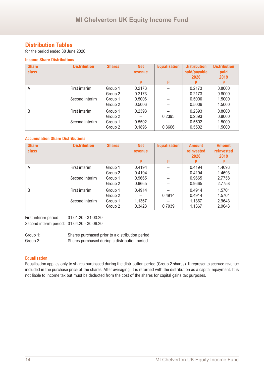## **Distribution Tables**

for the period ended 30 June 2020

#### **Income Share Distributions**

| <b>Share</b><br>class | <b>Distribution</b> | <b>Shares</b> | <b>Net</b><br><b>revenue</b> | <b>Equalisation</b> | <b>Distribution</b><br>paid/payable<br>2020 | <b>Distribution</b><br>paid<br>2019 |
|-----------------------|---------------------|---------------|------------------------------|---------------------|---------------------------------------------|-------------------------------------|
|                       |                     |               | p                            | p                   |                                             |                                     |
| A                     | First interim       | Group 1       | 0.2173                       |                     | 0.2173                                      | 0.8000                              |
|                       |                     | Group 2       | 0.2173                       |                     | 0.2173                                      | 0.8000                              |
|                       | Second interim      | Group 1       | 0.5006                       |                     | 0.5006                                      | 1.5000                              |
|                       |                     | Group 2       | 0.5006                       |                     | 0.5006                                      | 1.5000                              |
| B                     | First interim       | Group 1       | 0.2393                       |                     | 0.2393                                      | 0.8000                              |
|                       |                     | Group 2       |                              | 0.2393              | 0.2393                                      | 0.8000                              |
|                       | Second interim      | Group 1       | 0.5502                       |                     | 0.5502                                      | 1.5000                              |
|                       |                     | Group 2       | 0.1896                       | 0.3606              | 0.5502                                      | 1.5000                              |

#### **Accumulation Share Distributions**

| <b>Share</b><br>class | <b>Distribution</b>             | <b>Shares</b>                            | <b>Net</b><br><b>revenue</b><br>p    | <b>Equalisation</b><br>p | <b>Amount</b><br><b>reinvested</b><br>2020 | <b>Amount</b><br><b>reinvested</b><br>2019 |
|-----------------------|---------------------------------|------------------------------------------|--------------------------------------|--------------------------|--------------------------------------------|--------------------------------------------|
| A                     | First interim<br>Second interim | Group 1<br>Group 2<br>Group 1<br>Group 2 | 0.4194<br>0.4194<br>0.9665<br>0.9665 |                          | 0.4194<br>0.4194<br>0.9665<br>0.9665       | 1.4693<br>1.4693<br>2.7758<br>2.7758       |
| B                     | First interim<br>Second interim | Group 1<br>Group 2<br>Group 1<br>Group 2 | 0.4914<br>1.1367<br>0.3428           | 0.4914<br>0.7939         | 0.4914<br>0.4914<br>1.1367<br>1.1367       | 1.5701<br>1.5701<br>2.9643<br>2.9643       |

First interim period: 01.01.20 - 31.03.20 Second interim period: 01.04.20 - 30.06.20

Group 1: Shares purchased prior to a distribution period Group 2: Shares purchased during a distribution period

#### **Equalisation**

Equalisation applies only to shares purchased during the distribution period (Group 2 shares). It represents accrued revenue included in the purchase price of the shares. After averaging, it is returned with the distribution as a capital repayment. It is not liable to income tax but must be deducted from the cost of the shares for capital gains tax purposes.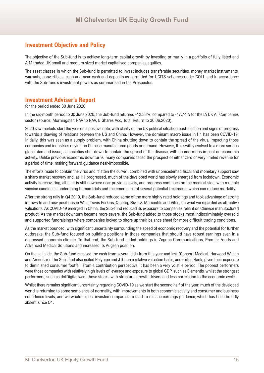## **Investment Objective and Policy**

The objective of the Sub-fund is to achieve long-term capital growth by investing primarily in a portfolio of fully listed and AIM traded UK small and medium sized market capitalised companies equities.

The asset classes in which the Sub-fund is permitted to invest includes transferable securities, money market instruments, warrants, convertibles, cash and near cash and deposits as permitted for UCITS schemes under COLL and in accordance with the Sub-fund's investment powers as summarised in the Prospectus.

#### **Investment Adviser's Report**

for the period ended 30 June 2020

In the six-month period to 30 June 2020, the Sub-fund returned -12.33%, compared to -17.74% for the IA UK All Companies sector (source: Morningstar, NAV to NAV, B Shares Acc, Total Return to 30.06.2020).

2020 saw markets start the year on a positive note, with clarity on the UK political situation post-election and signs of progress towards a thawing of relations between the US and China. However, the dominant macro issue in H1 has been COVID-19. Initially, this was seen as a supply problem, with China shutting down to contain the spread of the virus, impacting those companies and industries relying on Chinese manufactured goods or demand. However, this swiftly evolved to a more serious global demand issue, as societies shut down to contain the spread of the disease, with an enormous impact on economic activity. Unlike previous economic downturns, many companies faced the prospect of either zero or very limited revenue for a period of time, making forward guidance near-impossible.

The efforts made to contain the virus and "flatten the curve", combined with unprecedented fiscal and monetary support saw a sharp market recovery and, as H1 progressed, much of the developed world has slowly emerged from lockdown. Economic activity is recovering, albeit it is still nowhere near previous levels, and progress continues on the medical side, with multiple vaccine candidates undergoing human trials and the emergence of several potential treatments which can reduce mortality.

After the strong rally in Q4 2019, the Sub-fund reduced some of the more highly rated holdings and took advantage of strong inflows to add new positions in Weir, Travis Perkins, Qinetiq, River & Mercantile and Vitec, on what we regarded as attractive valuations. As COVID-19 emerged in China, the Sub-fund reduced its exposure to companies reliant on Chinese manufactured product. As the market downturn became more severe, the Sub-fund added to those stocks most indiscriminately oversold and supported fundraisings where companies looked to shore up their balance sheet for more difficult trading conditions.

As the market bounced, with significant uncertainty surrounding the speed of economic recovery and the potential for further outbreaks, the Sub-fund focused on building positions in those companies that should have robust earnings even in a depressed economic climate. To that end, the Sub-fund added holdings in Zegona Communications, Premier Foods and Advanced Medical Solutions and increased its Augean position.

On the sell side, the Sub-fund received the cash from several bids from this year and last (Consort Medical, Harwood Wealth and Amerisur). The Sub-fund also exited Polypipe and JTC, on a relative valuation basis, and exited Rank, given their exposure to diminished consumer footfall. From a contribution perspective, it has been a very volatile period. The poorest performers were those companies with relatively high levels of leverage and exposure to global GDP, such as Elementis, whilst the strongest performers, such as dotDigital were those stocks with structural growth drivers and less correlation to the economic cycle.

Whilst there remains significant uncertainty regarding COVID-19 as we start the second half of the year, much of the developed world is returning to some semblance of normality, with improvements in both economic activity and consumer and business confidence levels, and we would expect investee companies to start to reissue earnings guidance, which has been broadly absent since Q1.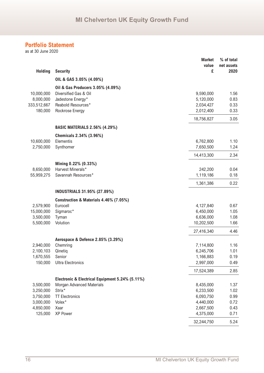as at 30 June 2020

|                |                                                 | <b>Market</b><br>value | % of total<br>net assets |
|----------------|-------------------------------------------------|------------------------|--------------------------|
| <b>Holding</b> | <b>Security</b>                                 | £                      | 2020                     |
|                | OIL & GAS 3.05% (4.09%)                         |                        |                          |
|                | Oil & Gas Producers 3.05% (4.09%)               |                        |                          |
| 10,000,000     | Diversified Gas & Oil                           | 9,590,000              | 1.56                     |
| 8,000,000      | Jadestone Energy*                               | 5,120,000              | 0.83                     |
| 333,512,667    | Reabold Resources*                              | 2,034,427              | 0.33                     |
| 180,000        | Rockrose Energy                                 | 2,012,400              | 0.33                     |
|                |                                                 | 18,756,827             | 3.05                     |
|                | <b>BASIC MATERIALS 2.56% (4.29%)</b>            |                        |                          |
|                | Chemicals 2.34% (3.96%)                         |                        |                          |
| 10,600,000     | Elementis                                       | 6,762,800              | 1.10                     |
| 2,750,000      | Synthomer                                       | 7,650,500              | 1.24                     |
|                |                                                 | 14,413,300             | 2.34                     |
|                | Mining 0.22% (0.33%)                            |                        |                          |
| 8,650,000      | Harvest Minerals*                               | 242,200                | 0.04                     |
| 55,959,275     | Savannah Resources*                             | 1,119,186              | 0.18                     |
|                |                                                 | 1,361,386              | 0.22                     |
|                | <b>INDUSTRIALS 31.95% (27.89%)</b>              |                        |                          |
|                | Construction & Materials 4.46% (7.05%)          |                        |                          |
| 2,579,900      | Eurocell                                        | 4,127,840              | 0.67                     |
| 15,000,000     | Sigmaroc*                                       | 6,450,000              | 1.05                     |
| 3,500,000      | Tyman                                           | 6,636,000              | 1.08                     |
| 5,500,000      | Volution                                        | 10,202,500             | 1.66                     |
|                |                                                 | 27,416,340             | 4.46                     |
|                | Aerospace & Defence 2.85% (3.29%)               |                        |                          |
| 2,940,000      | Chemring                                        | 7,114,800              | 1.16                     |
| 2,100,103      | Qinetiq                                         | 6,245,706              | 1.01                     |
| 1,670,555      | Senior                                          | 1,166,883              | 0.19                     |
| 150,000        | <b>Ultra Electronics</b>                        | 2,997,000              | 0.49                     |
|                |                                                 | 17,524,389             | 2.85                     |
|                | Electronic & Electrical Equipment 5.24% (5.11%) |                        |                          |
| 3,500,000      | <b>Morgan Advanced Materials</b>                | 8,435,000              | 1.37                     |
| 3,250,000      | Strix*                                          | 6,233,500              | 1.02                     |
| 3,750,000      | <b>TT Electronics</b>                           | 6,093,750              | 0.99                     |
| 3,000,000      | Volex*                                          | 4,440,000              | 0.72                     |
| 4,850,000      | Xaar                                            | 2,667,500              | 0.43                     |
| 125,000        | XP Power                                        | 4,375,000              | 0.71                     |
|                |                                                 | 32,244,750             | 5.24                     |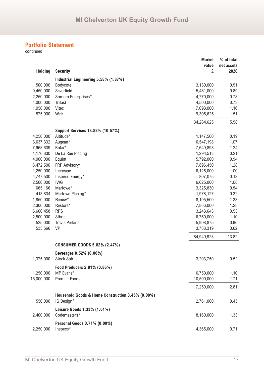|                |                                                   | <b>Market</b> | % of total |
|----------------|---------------------------------------------------|---------------|------------|
|                |                                                   | value         | net assets |
| <b>Holding</b> | <b>Security</b>                                   | £             | 2020       |
|                | Industrial Engineering 5.58% (1.87%)              |               |            |
| 500,000        | Bodycote                                          | 3,130,000     | 0.51       |
| 9,450,000      | Severfield                                        | 5,481,000     | 0.89       |
| 2,250,000      | Somero Enterprises*                               | 4,770,000     | 0.78       |
| 4,000,000      | <b>Trifast</b>                                    | 4,500,000     | 0.73       |
| 1,050,000      | Vitec                                             | 7,098,000     | 1.16       |
| 875,000        | Weir                                              | 9,305,625     | 1.51       |
|                |                                                   | 34,284,625    | 5.58       |
|                | <b>Support Services 13.82% (10.57%)</b>           |               |            |
| 4,250,000      | Altitude*                                         | 1,147,500     | 0.19       |
| 3,637,332      | Augean*                                           | 6,547,198     | 1.07       |
| 7,968,639      | Boku*                                             | 7,649,893     | 1.24       |
| 1,176,830      | De La Rue Placing                                 | 1,294,513     | 0.21       |
| 4,000,000      | Equinti                                           | 5,792,000     | 0.94       |
| 6,472,500      | FRP Advisory*                                     | 7,896,450     | 1.28       |
| 1,250,000      | Inchcape                                          | 6,125,000     | 1.00       |
| 4,747,500      | Inspired Energy*                                  | 807,075       | 0.13       |
| 2,500,000      | <b>IWG</b>                                        | 6,625,000     | 1.08       |
| 665,166        | Marlowe*                                          | 3,325,830     | 0.54       |
| 413,834        | Marlowe Placing*                                  | 1,978,127     | 0.32       |
| 1,850,000      | Renew*                                            | 8,195,500     | 1.33       |
| 2,300,000      | Restore*                                          | 7,866,000     | 1.28       |
| 6,660,458      | <b>RPS</b>                                        | 3,243,643     | 0.53       |
| 2,500,000      | <b>Sthree</b>                                     | 6,750,000     | 1.10       |
| 525,000        | <b>Travis Perkins</b>                             | 5,908,875     | 0.96       |
| 533,566        | <b>VP</b>                                         | 3,788,319     | 0.62       |
|                |                                                   | 84,940,923    | 13.82      |
|                | <b>CONSUMER GOODS 5.82% (2.47%)</b>               |               |            |
|                | Beverages 0.52% (0.00%)                           |               |            |
| 1,375,000      | <b>Stock Spirits</b>                              | 3,203,750     | 0.52       |
|                | Food Producers 2.81% (0.86%)                      |               |            |
| 1,250,000      | MP Evans*                                         | 6,750,000     | 1.10       |
| 15,000,000     | Premier Foods                                     | 10,500,000    | 1.71       |
|                |                                                   | 17,250,000    | 2.81       |
|                | Household Goods & Home Construction 0.45% (0.00%) |               |            |
| 550,000        | IG Design*                                        | 2,761,000     | 0.45       |
|                | Leisure Goods 1.33% (1.61%)                       |               |            |
| 2,400,000      | Codemasters*                                      | 8,160,000     | 1.33       |
|                | Personal Goods 0.71% (0.00%)                      |               |            |
| 2,250,000      | Inspecs*                                          | 4,365,000     | 0.71       |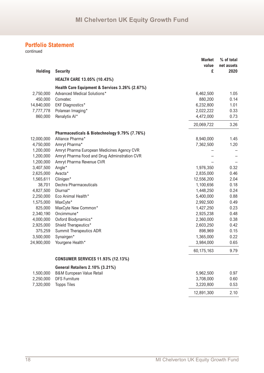|                |                                                | <b>Market</b> | % of total         |
|----------------|------------------------------------------------|---------------|--------------------|
|                |                                                | value<br>£    | net assets<br>2020 |
| <b>Holding</b> | <b>Security</b>                                |               |                    |
|                | <b>HEALTH CARE 13.05% (10.43%)</b>             |               |                    |
|                | Health Care Equipment & Services 3.26% (2.67%) |               |                    |
| 2,750,000      | Advanced Medical Solutions*                    | 6,462,500     | 1.05               |
| 450,000        | Convatec                                       | 880,200       | 0.14               |
| 14,840,000     | <b>EKF Diagnostics*</b>                        | 6,232,800     | 1.01               |
| 7,777,778      | Polarean Imaging*                              | 2,022,222     | 0.33               |
| 860,000        | Renalytix Al*                                  | 4,472,000     | 0.73               |
|                |                                                | 20,069,722    | 3.26               |
|                | Pharmaceuticals & Biotechnology 9.79% (7.76%)  |               |                    |
| 12,000,000     | Alliance Pharma*                               | 8,940,000     | 1.45               |
| 4,750,000      | Amryt Pharma*                                  | 7,362,500     | 1.20               |
| 1,200,000      | Amryt Pharma European Medicines Agency CVR     |               |                    |
| 1,200,000      | Amryt Pharma Food and Drug Adminstration CVR   |               |                    |
| 1,200,000      | Amryt Pharma Revenue CVR                       |               |                    |
| 3,407,500      | Angle*                                         | 1,976,350     | 0.32               |
| 2,625,000      | Avacta*                                        | 2,835,000     | 0.46               |
| 1,565,611      | Clinigen*                                      | 12,556,200    | 2.04               |
| 38,701         | Dechra Pharmaceuticals                         | 1,100,656     | 0.18               |
| 4,827,500      | Diurnal*                                       | 1,448,250     | 0.24               |
| 2,250,000      | Eco Animal Health*                             | 5,400,000     | 0.88               |
| 1,575,000      | MaxCyte*                                       | 2,992,500     | 0.49               |
| 825,000        | MaxCyte New Common*                            | 1,427,250     | 0.23               |
| 2,340,190      | Oncimmune*                                     | 2,925,238     | 0.48               |
| 4,000,000      | Oxford Biodynamics*                            | 2,360,000     | 0.38               |
| 2,925,000      | Shield Therapeutics*                           | 2,603,250     | 0.42               |
| 375,259        | <b>Summit Therapeutics ADR</b>                 | 898,969       | 0.15               |
| 3,500,000      | Synairgen*                                     | 1,365,000     | 0.22               |
| 24,900,000     | Yourgene Health*                               | 3,984,000     | 0.65               |
|                |                                                | 60,175,163    | 9.79               |
|                | <b>CONSUMER SERVICES 11.93% (12.13%)</b>       |               |                    |
|                | <b>General Retailers 2.10% (3.21%)</b>         |               |                    |
| 1,500,000      | <b>B&amp;M European Value Retail</b>           | 5,962,500     | 0.97               |
| 2,250,000      | <b>DFS Furniture</b>                           | 3,708,000     | 0.60               |
| 7,320,000      | <b>Topps Tiles</b>                             | 3,220,800     | 0.53               |
|                |                                                | 12,891,300    | 2.10               |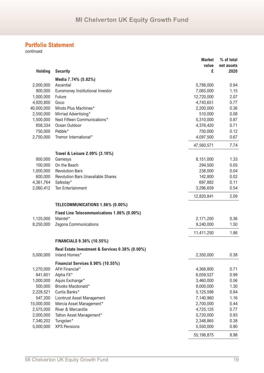|                        |                                                 | <b>Market</b><br>value<br>£ | % of total<br>net assets<br>2020 |
|------------------------|-------------------------------------------------|-----------------------------|----------------------------------|
| <b>Holding</b>         | <b>Security</b>                                 |                             |                                  |
|                        | Media 7.74% (5.82%)                             |                             |                                  |
| 2,000,000              | Ascential                                       | 5,788,000                   | 0.94                             |
| 900,000                | Euromoney Institutional Investor                | 7,065,000                   | 1.15                             |
| 1,000,000<br>4,920,800 | Future<br>Goco                                  | 12,720,000<br>4,743,651     | 2.07<br>0.77                     |
| 40,000,000             | Minds Plus Machines*                            | 2,200,000                   | 0.36                             |
| 2,550,000              | Mirriad Advertising*                            | 510,000                     | 0.08                             |
| 1,500,000              | Next Fifteen Communications*                    | 5,310,000                   | 0.87                             |
| 858,334                | Ocean Outdoor                                   | 4,376,420                   | 0.71                             |
| 750,000                | Pebble*                                         | 750,000                     | 0.12                             |
| 2,750,000              | Tremor International*                           | 4,097,500                   | 0.67                             |
|                        |                                                 | 47,560,571                  | 7.74                             |
|                        | Travel & Leisure 2.09% (3.10%)                  |                             |                                  |
| 950,000                | Gamesys                                         | 8,151,000                   | 1.33                             |
| 100,000                | On the Beach                                    | 294,500                     | 0.05                             |
| 1,000,000              | <b>Revolution Bars</b>                          | 238,000                     | 0.04                             |
| 600,000                | <b>Revolution Bars Unavailable Shares</b>       | 142,800                     | 0.02                             |
| 4,361,764              | Safestay*                                       | 697,882                     | 0.11                             |
| 2,060,412              | Ten Entertainment                               | 3,296,659                   | 0.54                             |
|                        |                                                 | 12,820,841                  | 2.09                             |
|                        | TELECOMMUNICATIONS 1.86% (0.00%)                |                             |                                  |
|                        | Fixed Line Telecommunications 1.86% (0.00%)     |                             |                                  |
| 1,125,000              | Maintel*                                        | 2,171,250                   | 0.36                             |
| 8,250,000              | Zegona Communications                           | 9,240,000                   | 1.50                             |
|                        |                                                 | 11,411,250                  | 1.86                             |
|                        | <b>FINANCIALS 9.36% (10.55%)</b>                |                             |                                  |
|                        | Real Estate Investment & Services 0.38% (0.00%) |                             |                                  |
| 5,000,000              | Inland Homes*                                   | 2,350,000                   | 0.38                             |
|                        | <b>Financial Services 8.98% (10.55%)</b>        |                             |                                  |
| 1,270,000              | AFH Financial*                                  | 4,368,800                   | 0.71                             |
| 841,601                | Alpha FX*                                       | 6,059,527                   | 0.99                             |
| 1,000,000              | Aquis Exchange*                                 | 3,460,000                   | 0.56                             |
| 500,000                | Brooks Macdonald*                               | 8,000,000                   | 1.30                             |
| 2,228,521              | Curtis Banks*                                   | 5,125,598                   | 0.84                             |
| 547,200                | Liontrust Asset Management                      | 7,140,960                   | 1.16                             |
| 15,000,000             | Mercia Asset Management*                        | 2,700,000                   | 0.44                             |
| 2,575,000              | River & Mercantile                              | 4,725,125                   | 0.77                             |
| 2,000,000              | Tatton Asset Management*                        | 5,720,000                   | 0.93                             |
| 7,340,202              | Tungsten*                                       | 2,348,865                   | 0.38                             |
| 5,000,000              | <b>XPS Pensions</b>                             | 5,550,000                   | 0.90                             |
|                        |                                                 | 55,198,875                  | 8.98                             |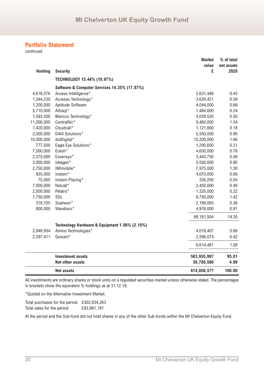continued

|                |                                               | <b>Market</b><br>value    | % of total<br>net assets |
|----------------|-----------------------------------------------|---------------------------|--------------------------|
| <b>Holding</b> | <b>Security</b>                               | £                         | 2020                     |
|                | TECHNOLOGY 15.44% (19.97%)                    |                           |                          |
|                | Software & Computer Services 14.35% (17.87%)  |                           |                          |
| 4,616,576      | Access Intelligence*                          | 2,631,448                 | 0.43                     |
| 1,344,230      | Accesso Technology*                           | 3,629,421                 | 0.59                     |
| 1,200,000      | Aptitude Software                             | 4,044,000                 | 0.66                     |
| 5,710,000      | Attraqt*                                      | 1,484,600                 | 0.24                     |
| 1,593,500      | Blancco Technology*                           | 3,059,520                 | 0.50                     |
| 11,000,000     | CentralNic*                                   | 9,460,000                 | 1.54                     |
| 1,420,000      | Cloudcall*                                    | 1,121,800                 | 0.18                     |
| 2,500,000      | D4t4 Solutions*                               | 5,550,000                 | 0.90                     |
| 10,000,000     | dotDigital*                                   | 10,200,000                | 1.66                     |
| 777,500        | Eagle Eye Solutions*                          | 1,290,650                 | 0.21                     |
| 7,500,000      | Eckoh*                                        | 4,650,000                 | 0.76                     |
| 2,375,000      | Essensys*                                     | 3,443,750                 | 0.56                     |
| 3,000,000      | Ideagen*                                      | 5,550,000                 | 0.90                     |
| 2,750,000      | IMImobile*                                    | 7,975,000                 | 1.30                     |
| 925,000        | Instem*                                       | 4,070,000                 | 0.66                     |
| 75,000         | Instem Placing*                               | 326,250                   | 0.05                     |
| 7,000,000      | Netcall*                                      | 2,450,000                 | 0.40                     |
| 2,000,000      | Pelatro*                                      | 1,320,000                 | 0.22                     |
| 1,750,000      | SDL                                           | 8,750,000                 | 1.42                     |
| 318,705        | Sopheon*                                      | 2,199,065                 | 0.36                     |
| 800,000        | Wandisco*                                     | 4,976,000                 | 0.81                     |
|                |                                               | 88,181,504                | 14.35                    |
|                | Technology Hardware & Equipment 1.08% (2.10%) |                           |                          |
| 2,849,934      | Amino Technologies*                           | 4,018,407                 | 0.66                     |
| 2,297,411      | Quixant*                                      | 2,596,074                 | 0.42                     |
|                |                                               | 6,614,481                 | 1.08                     |
|                | <b>Investment assets</b>                      |                           | 95.01                    |
|                | <b>Net other assets</b>                       | 583,955,997<br>30,700,580 | 4.99                     |
|                | <b>Net assets</b>                             | 614,656,577               | 100.00                   |

All investments are ordinary shares or stock units on a regulated securities market unless otherwise stated. The percentages in brackets show the equivalent % holdings as at 31.12.19.

\*Quoted on the Alternative Investment Market.

Total purchases for the period: £302,834,263 Total sales for the period: £93,981,181

At the period end the Sub-fund did not hold shares in any of the other Sub-funds within the MI Chelverton Equity Fund.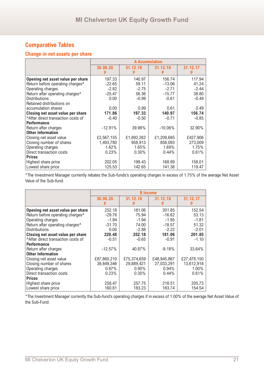## **Change in net assets per share**

|                                              | <b>A Accumulation</b> |            |            |          |
|----------------------------------------------|-----------------------|------------|------------|----------|
|                                              | 30.06.20              | 31.12.19   | 31.12.18   | 31.12.17 |
| Opening net asset value per share            | 197.33                | 140.97     | 156.74     | 117.94   |
| Return before operating charges <sup>^</sup> | $-22.65$              | 59.11      | $-13.06$   | 41.24    |
| Operating charges                            | $-2.82$               | $-2.75$    | $-2.71$    | $-2.44$  |
| Return after operating charges^              | $-25.47$              | 56.36      | $-15.77$   | 38.80    |
| <b>Distributions</b>                         | 0.00                  | $-0.99$    | $-0.61$    | $-0.49$  |
| Retained distributions on                    |                       |            |            |          |
| accumulation shares                          | 0.00                  | 0.99       | 0.61       | 0.49     |
| Closing net asset value per share            | 171.86                | 197.33     | 140.97     | 156.74   |
| After direct transaction costs of            | $-0.40$               | $-0.50$    | $-0.71$    | $-0.85$  |
| <b>Performance</b>                           |                       |            |            |          |
| Return after charges                         | $-12.91%$             | 39.98%     | $-10.06\%$ | 32.90%   |
| <b>Other Information</b>                     |                       |            |            |          |
| Closing net asset value                      | £2,567,155            | £1,892,262 | £1,209,685 | £427,906 |
| Closing number of shares                     | 1,493,780             | 958,913    | 858,093    | 273,009  |
| Operating charges                            | 1.62%                 | 1.65%      | 1.69%      | 1.75%    |
| Direct transaction costs                     | 0.23%                 | 0.30%      | 0.44%      | 0.61%    |
| <b>Prices</b>                                |                       |            |            |          |
| Highest share price                          | 202.05                | 199.43     | 168.89     | 158.01   |
| Lowest share price                           | 125.53                | 142.65     | 141.36     | 119.47   |

\*The Investment Manager currently rebates the Sub-funds's operating charges in excess of 1.75% of the average Net Asset Value of the Sub-fund.

|                                              | <b>B</b> Income |             |               |             |
|----------------------------------------------|-----------------|-------------|---------------|-------------|
|                                              | 30.06.20        | 31.12.19    | 31.12.18<br>p | 31.12.17    |
| Opening net asset value per share            | 252.18          | 181.06      | 201.85        | 152.54      |
| Return before operating charges <sup>^</sup> | $-29.76$        | 75.94       | $-16.62$      | 53.13       |
| Operating charges                            | $-1.94$         | $-1.94$     | $-1.95$       | $-1.81$     |
| Return after operating charges <sup>^</sup>  | $-31.70$        | 74.00       | $-18.57$      | 51.32       |
| <b>Distributions</b>                         | 0.00            | $-2.88$     | $-2.22$       | $-2.01$     |
| Closing net asset value per share            | 220.48          | 252.18      | 181.06        | 201.85      |
| After direct transaction costs of            | $-0.51$         | $-0.65$     | $-0.91$       | $-1.10$     |
| <b>Performance</b>                           |                 |             |               |             |
| Return after charges                         | $-12.57%$       | 40.87%      | $-9.18%$      | 33.64%      |
| <b>Other Information</b>                     |                 |             |               |             |
| Closing net asset value                      | £87,860,210     | £75,374,659 | £48,945,867   | £27,478,150 |
| Closing number of shares                     | 39,849,346      | 29,889,421  | 27,033,291    | 13,612,918  |
| Operating charges                            | 0.87%           | $0.90\%$    | 0.94%         | 1.00%       |
| Direct transaction costs                     | 0.23%           | 0.30%       | 0.44%         | 0.61%       |
| <b>Prices</b>                                |                 |             |               |             |
| Highest share price                          | 258.47          | 257.75      | 218.51        | 205.73      |
| Lowest share price                           | 160.81          | 183.23      | 183.74        | 154.54      |

\*The Investment Manager currently the Sub-fund's operating charges if in excess of 1.00% of the average Net Asset Value of the Sub-Fund.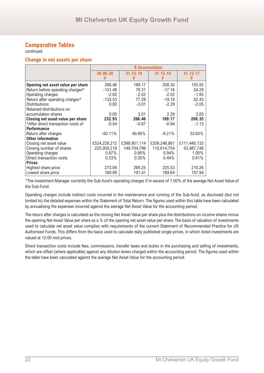continued

#### **Change in net assets per share**

|                                              |              |              | <b>B</b> Accumulation |              |
|----------------------------------------------|--------------|--------------|-----------------------|--------------|
|                                              | 30.06.20     | 31.12.19     | 31.12.18              | 31.12.17     |
| Opening net asset value per share            | 266.46       | 189.17       | 208.35                | 155.92       |
| Return before operating charges <sup>^</sup> | $-131.48$    | 79.31        | $-17.16$              | 54.28        |
| Operating charges                            | $-2.05$      | $-2.02$      | $-2.02$               | $-1.85$      |
| Return after operating charges <sup>^</sup>  | $-133.53$    | 77.29        | $-19.18$              | 52.43        |
| <b>Distributions</b>                         | 0.00         | $-3.01$      | $-2.29$               | $-2.05$      |
| Retained distributions on                    |              |              |                       |              |
| accumulation shares                          | 0.00         | 3.01         | 2.29                  | 2.05         |
| Closing net asset value per share            | 232.93       | 266.46       | 189.17                | 208.35       |
| After direct transaction costs of            | $-0.54$      | $-0.67$      | $-0.94$               | $-1.13$      |
| <b>Performance</b>                           |              |              |                       |              |
| Return after charges                         | $-50.11%$    | 40.86%       | $-9.21%$              | 33.63%       |
| <b>Other information</b>                     |              |              |                       |              |
| Closing net asset value                      | £524,229,212 | £398,901,114 | £209,248,861          | £111,440,133 |
| Closing number of shares                     | 225,059,218  | 149,704,799  | 110,614,754           | 53,487,749   |
| Operating charges                            | $0.87\%$     | $0.90\%$     | $0.94\%$              | 1.00%        |
| Direct transaction costs                     | 0.23%        | $0.30\%$     | 0.44%                 | 0.61%        |
| <b>Prices</b>                                |              |              |                       |              |
| Highest share price                          | 273.08       | 269.25       | 225.53                | 210.26       |
| Lowest share price                           | 169.89       | 191.41       | 189.64                | 157.94       |

\*The Investment Manager currently the Sub-fund's operating charges if in excess of 1.00% of the average Net Asset Value of the Sub-Fund.

Operating charges include indirect costs incurred in the maintenance and running of the Sub-fund, as disclosed (but not limited to) the detailed expenses within the Statement of Total Return. The figures used within this table have been calculated by annualising the expenses incurred against the average Net Asset Value for the accounting period.

The return after charges is calculated as the closing Net Asset Value per share plus the distributions on income shares minus the opening Net Asset Value per share as a % of the opening net asset value per share. The basis of valuation of investments used to calculate net asset value complies with requirements of the current Statement of Recommended Practice for UK Authorised Funds. This differs from the basis used to calculate daily published single prices, in which listed investments are valued at 12:00 mid prices.

Direct transaction costs include fees, commissions, transfer taxes and duties in the purchasing and selling of investments, which are offset (where applicable) against any dilution levies charged within the accounting period. The figures used within the table have been calculated against the average Net Asset Value for the accounting period.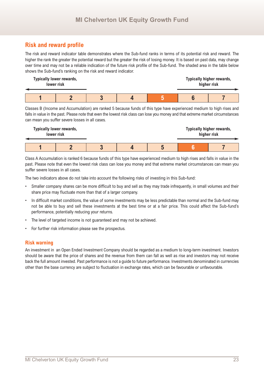## **Risk and reward profile**

The risk and reward indicator table demonstrates where the Sub-fund ranks in terms of its potential risk and reward. The higher the rank the greater the potential reward but the greater the risk of losing money. It is based on past data, may change over time and may not be a reliable indication of the future risk profile of the Sub-fund. The shaded area in the table below shows the Sub-fund's ranking on the risk and reward indicator.



Classes B (Income and Accumulation) are ranked 5 because funds of this type have experienced medium to high rises and falls in value in the past. Please note that even the lowest risk class can lose you money and that extreme market circumstances can mean you suffer severe losses in all cases.



Class A Accumulation is ranked 6 because funds of this type have experienced medium to high rises and falls in value in the past. Please note that even the lowest risk class can lose you money and that extreme market circumstances can mean you suffer severe losses in all cases.

The two indicators above do not take into account the following risks of investing in this Sub-fund:

- Smaller company shares can be more difficult to buy and sell as they may trade infrequently, in small volumes and their share price may fluctuate more than that of a larger company.
- In difficult market conditions, the value of some investments may be less predictable than normal and the Sub-fund may not be able to buy and sell these investments at the best time or at a fair price. This could affect the Sub-fund's performance, potentially reducing your returns.
- The level of targeted income is not guaranteed and may not be achieved.
- For further risk information please see the prospectus.

#### **Risk warning**

An investment in an Open Ended Investment Company should be regarded as a medium to long-term investment. Investors should be aware that the price of shares and the revenue from them can fall as well as rise and investors may not receive back the full amount invested. Past performance is not a guide to future performance. Investments denominated in currencies other than the base currency are subject to fluctuation in exchange rates, which can be favourable or unfavourable.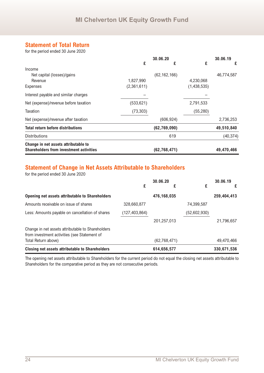## **Statement of Total Return**

for the period ended 30 June 2020

|                                                | 30.06.20    |                |             | 30.06.19   |
|------------------------------------------------|-------------|----------------|-------------|------------|
|                                                | £           | £              | £           | £          |
| Income                                         |             |                |             |            |
| Net capital (losses)/gains                     |             | (62, 162, 166) |             | 46,774,587 |
| Revenue                                        | 1,827,990   |                | 4,230,068   |            |
| Expenses                                       | (2,361,611) |                | (1,438,535) |            |
| Interest payable and similar charges           |             |                |             |            |
| Net (expense)/revenue before taxation          | (533, 621)  |                | 2,791,533   |            |
| Taxation                                       | (73, 303)   |                | (55, 280)   |            |
| Net (expense)/revenue after taxation           |             | (606, 924)     |             | 2,736,253  |
| <b>Total return before distributions</b>       |             | (62, 769, 090) |             | 49,510,840 |
| <b>Distributions</b>                           |             | 619            |             | (40, 374)  |
| Change in net assets attributable to           |             |                |             |            |
| <b>Shareholders from investment activities</b> |             | (62, 768, 471) |             | 49,470,466 |

## **Statement of Change in Net Assets Attributable to Shareholders**

for the period ended 30 June 2020

|                                                                                                   | £               | 30.06.20<br>£  | £            | 30.06.19<br>£ |
|---------------------------------------------------------------------------------------------------|-----------------|----------------|--------------|---------------|
| Opening net assets attributable to Shareholders                                                   |                 | 476,168,035    |              | 259,404,413   |
| Amounts receivable on issue of shares                                                             | 328,660,877     |                | 74,399,587   |               |
| Less: Amounts payable on cancellation of shares                                                   | (127, 403, 864) |                | (52,602,930) |               |
|                                                                                                   |                 | 201,257,013    |              | 21,796,657    |
| Change in net assets attributable to Shareholders<br>from investment activities (see Statement of |                 |                |              |               |
| Total Return above)                                                                               |                 | (62, 768, 471) |              | 49,470,466    |
| <b>Closing net assets attributable to Shareholders</b>                                            |                 | 614,656,577    |              | 330,671,536   |

The opening net assets attributable to Shareholders for the current period do not equal the closing net assets attributable to Shareholders for the comparative period as they are not consecutive periods.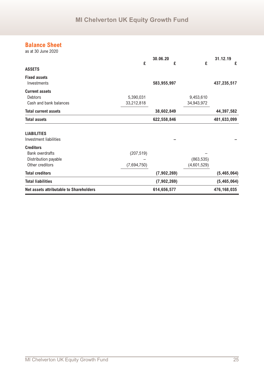## **Balance Sheet**

as at 30 June 2020

|                                                                                       | £                         | 30.06.20<br>£ | £                         | 31.12.19<br>£ |
|---------------------------------------------------------------------------------------|---------------------------|---------------|---------------------------|---------------|
| <b>ASSETS</b>                                                                         |                           |               |                           |               |
| <b>Fixed assets</b><br>Investments                                                    |                           | 583,955,997   |                           | 437,235,517   |
| <b>Current assets</b><br><b>Debtors</b><br>Cash and bank balances                     | 5,390,031<br>33,212,818   |               | 9,453,610<br>34,943,972   |               |
| <b>Total current assets</b>                                                           |                           | 38,602,849    |                           | 44,397,582    |
| <b>Total assets</b>                                                                   |                           | 622,558,846   |                           | 481,633,099   |
| <b>LIABILITIES</b><br><b>Investment liabilities</b>                                   |                           |               |                           |               |
| <b>Creditors</b><br><b>Bank overdrafts</b><br>Distribution payable<br>Other creditors | (207, 519)<br>(7,694,750) |               | (863, 535)<br>(4,601,529) |               |
| <b>Total creditors</b>                                                                |                           | (7,902,269)   |                           | (5,465,064)   |
| <b>Total liabilities</b>                                                              |                           | (7,902,269)   |                           | (5,465,064)   |
| <b>Net assets attributable to Shareholders</b>                                        |                           | 614,656,577   |                           | 476,168,035   |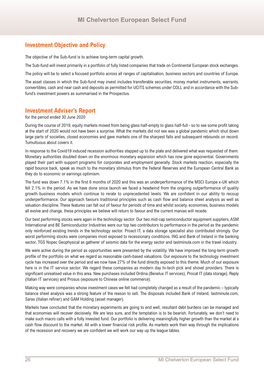## **Investment Objective and Policy**

The objective of the Sub-fund is to achieve long-term capital growth.

The Sub-fund will invest primarily in a portfolio of fully listed companies that trade on Continental European stock exchanges.

The policy will be to select a focused portfolio across all ranges of capitalisation, business sectors and countries of Europe.

The asset classes in which the Sub-fund may invest includes transferable securities, money market instruments, warrants, convertibles, cash and near cash and deposits as permitted for UCITS schemes under COLL and in accordance with the Subfund's investment powers as summarised in the Prospectus.

## **Investment Adviser's Report**

for the period ended 30 June 2020

During the course of 2019, equity markets moved from being glass half-empty to glass half-full - so to see some profit taking at the start of 2020 would not have been a surprise. What the markets did not see was a global pandemic which shut down large parts of societies, closed economies and gave markets one of the sharpest falls and subsequent rebounds on record. Tumultuous about covers it.

In response to the Covid19 induced recession authorities stepped up to the plate and delivered what was requested of them. Monetary authorities doubled down on the enormous monetary expansion which has now gone exponential. Governments played their part with support programs for corporates and employment generally. Stock markets reaction, especially the rapid bounce back, speak as much to the monetary stimulus from the Federal Reserves and the European Central Bank as they do to economic or earnings optimism.

The fund was down 7.1% in the first 6 months of 2020 and this was an underperformance of the MSCI Europe x-UK which fell 2.1% in the period. As we have done since launch we faced a headwind from the ongoing outperformance of quality growth business models which continue to rerate to unprecedented levels. We are confident in our ability to recoup underperformance. Our approach favours traditional principles such as cash flow and balance sheet analysis as well as valuation discipline. These features can fall out of favour for periods of time and whilst society, economies, business models all evolve and change, these principles we believe will return to favour and the current manias will recede.

Our best performing stocks were again in the technology sector. Our two mid-cap semiconductor equipment suppliers, ASM International and BE Semiconductor Industries were our top two contributors to performance in the period as the pandemic only reinforced existing trends in the technology sector. Proact IT, a data storage specialist also contributed strongly. Our worst performing stocks were companies most exposed to recessionary conditions. ING and Bank of Ireland in the banking sector, TGS Nopec Geophysical as gatherer of seismic data for the energy sector and lastminute.com in the travel industry.

We were active during the period as opportunities were presented by the volatility. We have improved the long-term growth profile of the portfolio on what we regard as reasonable cash-based valuations. Our exposure to the technology investment cycle has increased over the period and we now have 27% of the fund directly exposed to this theme. Much of our exposure here is in the IT service sector. We regard these companies as modern day hi-tech pick and shovel providers. There is significant unrealised value in this area. New purchases included Ordina (Benelux IT services), Procat IT (data storage), Reply (Italian IT services) and Prosus (exposure to Chinese online commerce).

Making way were companies whose investment cases we felt had completely changed as a result of the pandemic – typically balance sheet analysis was a strong feature of the reason to sell. The disposals included Bank of Ireland, lastminute.com, Saras (Italian refiner) and GAM Holding (asset manager).

Markets have concluded that the monetary experiments are going to end well, resultant debt burdens can be managed and that economies will recover decisively. We are less sure, and the temptation is to be bearish. Fortunately, we don't need to make such macro calls with a fully invested fund. Our portfolio is delivering meaningfully higher growth than the market at a cash flow discount to the market. All with a lower financial risk profile. As markets work their way through the implications of the recession and recovery we are confident we will work our way up the league tables.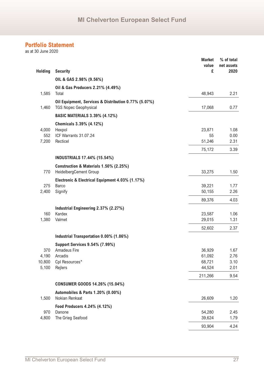as at 30 June 2020

|                 |                                                                                      | <b>Market</b><br>value | % of total<br>net assets |
|-----------------|--------------------------------------------------------------------------------------|------------------------|--------------------------|
| <b>Holding</b>  | <b>Security</b>                                                                      | £                      | 2020                     |
|                 | OIL & GAS 2.98% (9.56%)                                                              |                        |                          |
|                 | Oil & Gas Producers 2.21% (4.49%)                                                    |                        |                          |
| 1,585           | Total                                                                                | 48,943                 | 2.21                     |
| 1,460           | Oil Equipment, Services & Distribution 0.77% (5.07%)<br><b>TGS Nopec Geophysical</b> | 17,068                 | 0.77                     |
|                 | <b>BASIC MATERIALS 3.39% (4.12%)</b>                                                 |                        |                          |
|                 | Chemicals 3.39% (4.12%)                                                              |                        |                          |
| 4,000           | Hexpol                                                                               | 23,871                 | 1.08                     |
| 552             | ICF Warrants 31.07.24                                                                | 55                     | 0.00                     |
| 7,200           | Recticel                                                                             | 51,246                 | 2.31                     |
|                 |                                                                                      | 75,172                 | 3.39                     |
|                 | <b>INDUSTRIALS 17.44% (15.54%)</b>                                                   |                        |                          |
|                 | Construction & Materials 1.50% (2.25%)                                               |                        |                          |
| 770             | HeidelbergCement Group                                                               | 33,275                 | 1.50                     |
|                 | Electronic & Electrical Equipment 4.03% (1.17%)                                      |                        |                          |
| 275             | Barco                                                                                | 39,221                 | 1.77                     |
| 2,400           | Signify                                                                              | 50,155                 | 2.26                     |
|                 |                                                                                      | 89,376                 | 4.03                     |
|                 | Industrial Engineering 2.37% (2.27%)                                                 |                        |                          |
| 160             | Kardex                                                                               | 23,587                 | 1.06                     |
| 1,380           | Valmet                                                                               | 29,015                 | 1.31                     |
|                 |                                                                                      | 52,602                 | 2.37                     |
|                 | Industrial Transportation 0.00% (1.86%)                                              |                        |                          |
|                 | <b>Support Services 9.54% (7.99%)</b>                                                |                        |                          |
| 370             | Amadeus Fire                                                                         | 36,929                 | 1.67                     |
| 4,190           | Arcadis                                                                              | 61,092                 | 2.76                     |
| 10,800<br>5,100 | Cpl Resources*<br>Rejlers                                                            | 68,721<br>44,524       | 3.10<br>2.01             |
|                 |                                                                                      | 211,266                | 9.54                     |
|                 | CONSUMER GOODS 14.26% (15.04%)                                                       |                        |                          |
|                 | Automobiles & Parts 1.20% (0.00%)                                                    |                        |                          |
| 1,500           | Nokian Renkaat                                                                       | 26,609                 | 1.20                     |
|                 | Food Producers 4.24% (4.12%)                                                         |                        |                          |
| 970             | Danone                                                                               | 54,280                 | 2.45                     |
| 4,800           | The Grieg Seafood                                                                    | 39,624                 | 1.79                     |
|                 |                                                                                      | 93,904                 | 4.24                     |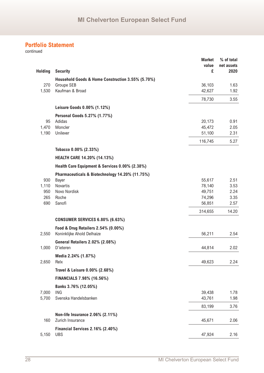| <b>Holding</b> | <b>Security</b>                                   | <b>Market</b><br>value<br>£ | % of total<br>net assets<br>2020 |
|----------------|---------------------------------------------------|-----------------------------|----------------------------------|
|                | Household Goods & Home Construction 3.55% (5.70%) |                             |                                  |
| 270            | Groupe SEB                                        | 36,103                      | 1.63                             |
| 1,530          | Kaufman & Broad                                   | 42,627                      | 1.92                             |
|                |                                                   | 78,730                      | 3.55                             |
|                | Leisure Goods 0.00% (1.12%)                       |                             |                                  |
|                | Personal Goods 5.27% (1.77%)                      |                             |                                  |
| 95             | Adidas                                            | 20,173                      | 0.91                             |
| 1,470          | Moncler                                           | 45,472                      | 2.05                             |
| 1,190          | Unilever                                          | 51,100                      | 2.31                             |
|                |                                                   | 116,745                     | 5.27                             |
|                | Tobacco 0.00% (2.33%)                             |                             |                                  |
|                | <b>HEALTH CARE 14.20% (14.13%)</b>                |                             |                                  |
|                | Health Care Equipment & Services 0.00% (2.38%)    |                             |                                  |
|                | Pharmaceuticals & Biotechnology 14.20% (11.75%)   |                             |                                  |
| 930            | <b>Bayer</b>                                      | 55,617                      | 2.51                             |
| 1,110          | Novartis                                          | 78,140                      | 3.53                             |
| 950<br>265     | Novo Nordisk<br>Roche                             | 49,751                      | 2.24                             |
| 690            | Sanofi                                            | 74,296<br>56,851            | 3.35<br>2.57                     |
|                |                                                   | 314,655                     | 14.20                            |
|                | <b>CONSUMER SERVICES 6.80% (6.63%)</b>            |                             |                                  |
|                | Food & Drug Retailers 2.54% (0.00%)               |                             |                                  |
| 2,550          | Koninklijke Ahold Delhaize                        | 56,211                      | 2.54                             |
|                | General Retailers 2.02% (2.08%)                   |                             |                                  |
| 1,000          | D'ieteren                                         | 44,814                      | 2.02                             |
|                | Media 2.24% (1.87%)                               |                             |                                  |
| 2,650          | Relx                                              | 49,623                      | 2.24                             |
|                | Travel & Leisure 0.00% (2.68%)                    |                             |                                  |
|                | FINANCIALS 7.98% (16.56%)                         |                             |                                  |
| 7,000          | Banks 3.76% (12.05%)<br><b>ING</b>                | 39,438                      | 1.78                             |
| 5,700          | Svenska Handelsbanken                             | 43,761                      | 1.98                             |
|                |                                                   | 83,199                      | 3.76                             |
|                | Non-life Insurance 2.06% (2.11%)                  |                             |                                  |
| 160            | Zurich Insurance                                  | 45,671                      | 2.06                             |
|                | Financial Services 2.16% (2.40%)                  |                             |                                  |
| 5,150          | <b>UBS</b>                                        | 47,924                      | 2.16                             |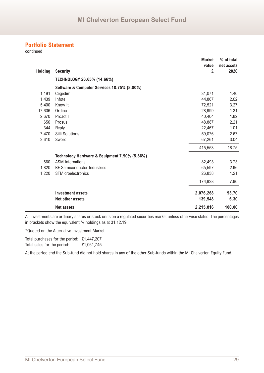continued

|                |                                               | <b>Market</b> | % of total         |
|----------------|-----------------------------------------------|---------------|--------------------|
| <b>Holding</b> | <b>Security</b>                               | value<br>£    | net assets<br>2020 |
|                | TECHNOLOGY 26.65% (14.66%)                    |               |                    |
|                | Software & Computer Services 18.75% (8.80%)   |               |                    |
| 1,191          | Cegedim                                       | 31,071        | 1.40               |
| 1,439          | Infotel                                       | 44,867        | 2.02               |
| 5,400          | Know It                                       | 72,521        | 3.27               |
| 17,606         | Ordina                                        | 28,999        | 1.31               |
| 2,670          | Proact IT                                     | 40,404        | 1.82               |
| 650            | Prosus                                        | 48,887        | 2.21               |
| 344            | Reply                                         | 22,467        | 1.01               |
| 7,470          | Silli Solutions                               | 59,076        | 2.67               |
| 2,610          | Sword                                         | 67,261        | 3.04               |
|                |                                               | 415,553       | 18.75              |
|                | Technology Hardware & Equipment 7.90% (5.86%) |               |                    |
| 660            | <b>ASM</b> International                      | 82,493        | 3.73               |
| 1,820          | <b>BE Semiconductor Industries</b>            | 65,597        | 2.96               |
| 1,220          | STMicroelectronics                            | 26,838        | 1.21               |
|                |                                               | 174,928       | 7.90               |
|                | <b>Investment assets</b>                      | 2,076,268     | 93.70              |
|                | <b>Net other assets</b>                       | 139,548       | 6.30               |
|                | <b>Net assets</b>                             | 2,215,816     | 100.00             |

All investments are ordinary shares or stock units on a regulated securities market unless otherwise stated. The percentages in brackets show the equivalent % holdings as at 31.12.19.

\*Quoted on the Alternative Investment Market.

Total purchases for the period: £1,447,207 Total sales for the period: £1,061,745

At the period end the Sub-fund did not hold shares in any of the other Sub-funds within the MI Chelverton Equity Fund.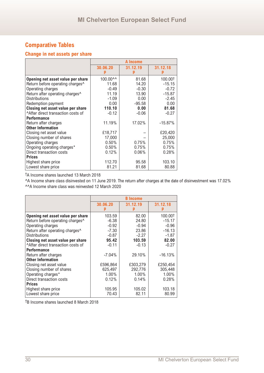## **Change in net assets per share**

|                                              |          | A Income      |            |
|----------------------------------------------|----------|---------------|------------|
|                                              | 30.06.20 | 31.12.19<br>p | 31.12.18   |
| Opening net asset value per share            | 100.00^^ | 81.68         | 100.00+    |
| Return before operating charges <sup>^</sup> | 11.68    | 14.20         | $-15.15$   |
| Operating charges                            | $-0.49$  | $-0.30$       | $-0.72$    |
| Return after operating charges^              | 11.19    | 13.90         | $-15.87$   |
| <b>Distributions</b>                         | $-1.09$  | 0.00          | $-2.45$    |
| Redemption payment                           | 0.00     | $-95.58$      | 0.00       |
| Closing net asset value per share            | 110.10   | 0.00          | 81.68      |
| After direct transaction costs of            | $-0.12$  | $-0.06$       | $-0.27$    |
| <b>Performance</b>                           |          |               |            |
| Return after charges                         | 11.19%   | 17.02%        | $-15.87\%$ |
| <b>Other Information</b>                     |          |               |            |
| Closing net asset value                      | £18,717  |               | £20,420    |
| Closing number of shares                     | 17,000   |               | 25,000     |
| Operating charges                            | 0.50%    | 0.75%         | 0.75%      |
| Ongoing operating charges*                   | 0.50%    | 0.75%         | 0.75%      |
| Direct transaction costs                     | 0.12%    | $0.06\%$      | 0.28%      |
| <b>Prices</b>                                |          |               |            |
| Highest share price                          | 112.70   | 95.58         | 103.10     |
| Lowest share price                           | 81.21    | 81.68         | 80.88      |

†A Income shares launched 13 March 2018

^A Income share class disinvested on 11 June 2019. The return after charges at the date of disinvestment was 17.02% ^^A Income share class was reinvested 12 March 2020

|                                              |           | <b>B</b> Income |           |
|----------------------------------------------|-----------|-----------------|-----------|
|                                              | 30.06.20  | 31.12.19        | 31.12.18  |
| Opening net asset value per share            | 103.59    | 82.00           | 100.00†   |
| Return before operating charges <sup>^</sup> | $-6.38$   | 24.80           | $-15.17$  |
| Operating charges                            | $-0.92$   | $-0.94$         | $-0.96$   |
| Return after operating charges^              | $-7.30$   | 23.86           | $-16.13$  |
| <b>Distributions</b>                         | $-0.87$   | $-2.27$         | $-1.87$   |
| Closing net asset value per share            | 95.42     | 103.59          | 82.00     |
| After direct transaction costs of            | $-0.11$   | $-0.13$         | $-0.27$   |
| <b>Performance</b>                           |           |                 |           |
| Return after charges                         | $-7.04\%$ | 29.10%          | $-16.13%$ |
| <b>Other Information</b>                     |           |                 |           |
| Closing net asset value                      | £596,864  | £303,279        | £250,454  |
| Closing number of shares                     | 625,497   | 292,776         | 305,448   |
| Operating charges*                           | $1.00\%$  | $1.00\%$        | 1.00%     |
| Direct transaction costs                     | 0.12%     | 0.14%           | 0.28%     |
| <b>Prices</b>                                |           |                 |           |
| Highest share price                          | 105.95    | 105.02          | 103.18    |
| Lowest share price                           | 70.43     | 82.11           | 80.99     |

†B Income shares launched 8 March 2018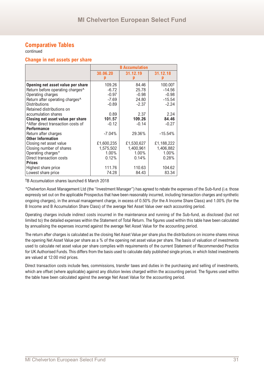continued

#### **Change in net assets per share**

|                                             |            | <b>B</b> Accumulation |            |
|---------------------------------------------|------------|-----------------------|------------|
|                                             | 30.06.20   | 31.12.19              | 31.12.18   |
| Opening net asset value per share           | 109.26     | 84.46                 | 100.00+    |
| Return before operating charges^            | $-6.72$    | 25.78                 | $-14.56$   |
| Operating charges                           | $-0.97$    | $-0.98$               | $-0.98$    |
| Return after operating charges <sup>^</sup> | $-7.69$    | 24.80                 | $-15.54$   |
| <b>Distributions</b>                        | $-0.89$    | $-2.37$               | $-2.24$    |
| Retained distributions on                   |            |                       |            |
| accumulation shares                         | 0.89       | 2.37                  | 2.24       |
| Closing net asset value per share           | 101.57     | 109.26                | 84.46      |
| After direct transaction costs of           | $-0.12$    | $-0.14$               | $-0.27$    |
| <b>Performance</b>                          |            |                       |            |
| Return after charges                        | $-7.04%$   | 29.36%                | $-15.54%$  |
| <b>Other Information</b>                    |            |                       |            |
| Closing net asset value                     | £1,600,235 | £1,530,627            | £1,188,222 |
| Closing number of shares                    | 1,575,502  | 1,400,961             | 1,406,882  |
| Operating charges*                          | $1.00\%$   | 1.00%                 | 1.00%      |
| Direct transaction costs                    | 0.12%      | 0.14%                 | 0.28%      |
| <b>Prices</b>                               |            |                       |            |
| Highest share price                         | 111.76     | 110.63                | 104.62     |
| Lowest share price                          | 74.28      | 84.43                 | 83.34      |

†B Accumulation shares launched 6 March 2018

\*Chelverton Asset Management Ltd (the "Investment Manager") has agreed to rebate the expenses of the Sub-fund (i.e. those expressly set out on the applicable Prospectus that have been reasonably incurred, including transaction charges and synthetic ongoing charges), in the annual management charge, in excess of 0.50% (for the A Income Share Class) and 1.00% (for the B Income and B Accumulation Share Class) of the average Net Asset Value over each accounting period.

Operating charges include indirect costs incurred in the maintenance and running of the Sub-fund, as disclosed (but not limited to) the detailed expenses within the Statement of Total Return. The figures used within this table have been calculated by annualising the expenses incurred against the average Net Asset Value for the accounting period.

The return after charges is calculated as the closing Net Asset Value per share plus the distributions on income shares minus the opening Net Asset Value per share as a % of the opening net asset value per share. The basis of valuation of investments used to calculate net asset value per share complies with requirements of the current Statement of Recommended Practice for UK Authorised Funds. This differs from the basis used to calculate daily published single prices, in which listed investments are valued at 12:00 mid prices.

Direct transaction costs include fees, commissions, transfer taxes and duties in the purchasing and selling of investments, which are offset (where applicable) against any dilution levies charged within the accounting period. The figures used within the table have been calculated against the average Net Asset Value for the accounting period.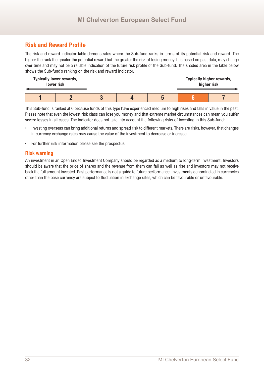## **Risk and Reward Profile**

The risk and reward indicator table demonstrates where the Sub-fund ranks in terms of its potential risk and reward. The higher the rank the greater the potential reward but the greater the risk of losing money. It is based on past data, may change over time and may not be a reliable indication of the future risk profile of the Sub-fund. The shaded area in the table below shows the Sub-fund's ranking on the risk and reward indicator.

| <b>Typically lower rewards,</b><br>lower risk |  |  |     | Typically higher rewards,<br>higher risk |
|-----------------------------------------------|--|--|-----|------------------------------------------|
|                                               |  |  | - 1 |                                          |

This Sub-fund is ranked at 6 because funds of this type have experienced medium to high rises and falls in value in the past. Please note that even the lowest risk class can lose you money and that extreme market circumstances can mean you suffer severe losses in all cases. The indicator does not take into account the following risks of investing in this Sub-fund:

- Investing overseas can bring additional returns and spread risk to different markets. There are risks, however, that changes in currency exchange rates may cause the value of the investment to decrease or increase.
- For further risk information please see the prospectus.

#### **Risk warning**

An investment in an Open Ended Investment Company should be regarded as a medium to long-term investment. Investors should be aware that the price of shares and the revenue from them can fall as well as rise and investors may not receive back the full amount invested. Past performance is not a guide to future performance. Investments denominated in currencies other than the base currency are subject to fluctuation in exchange rates, which can be favourable or unfavourable.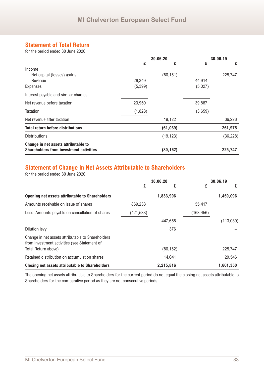## **Statement of Total Return**

for the period ended 30 June 2020

|                                                |          | 30.06.20  |         | 30.06.19  |
|------------------------------------------------|----------|-----------|---------|-----------|
|                                                | £        | £         | £       | £         |
| Income                                         |          |           |         |           |
| Net capital (losses) /gains                    |          | (80, 161) |         | 225,747   |
| Revenue                                        | 26,349   |           | 44,914  |           |
| <b>Expenses</b>                                | (5, 399) |           | (5,027) |           |
| Interest payable and similar charges           |          |           |         |           |
| Net revenue before taxation                    | 20,950   |           | 39,887  |           |
| Taxation                                       | (1,828)  |           | (3,659) |           |
| Net revenue after taxation                     |          | 19,122    |         | 36,228    |
| <b>Total return before distributions</b>       |          | (61, 039) |         | 261,975   |
| <b>Distributions</b>                           |          | (19, 123) |         | (36, 228) |
| Change in net assets attributable to           |          |           |         |           |
| <b>Shareholders from investment activities</b> |          | (80, 162) |         | 225,747   |

## **Statement of Change in Net Assets Attributable to Shareholders**

for the period ended 30 June 2020

|                                                                                                   | 30.06.20   |           | 30.06.19   |            |
|---------------------------------------------------------------------------------------------------|------------|-----------|------------|------------|
|                                                                                                   | £          | £         | £          | £          |
| <b>Opening net assets attributable to Shareholders</b>                                            |            | 1,833,906 |            | 1,459,096  |
| Amounts receivable on issue of shares                                                             | 869,238    |           | 55,417     |            |
| Less: Amounts payable on cancellation of shares                                                   | (421, 583) |           | (168, 456) |            |
|                                                                                                   |            | 447,655   |            | (113, 039) |
| Dilution levy                                                                                     |            | 376       |            |            |
| Change in net assets attributable to Shareholders<br>from investment activities (see Statement of |            |           |            |            |
| Total Return above)                                                                               |            | (80, 162) |            | 225,747    |
| Retained distribution on accumulation shares                                                      |            | 14,041    |            | 29,546     |
| Closing net assets attributable to Shareholders                                                   |            | 2,215,816 |            | 1,601,350  |

The opening net assets attributable to Shareholders for the current period do not equal the closing net assets attributable to Shareholders for the comparative period as they are not consecutive periods.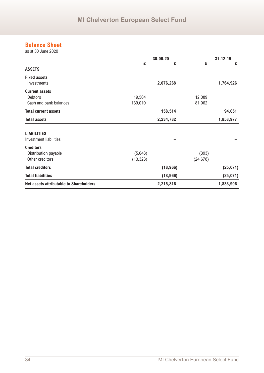## **Balance Sheet**

as at 30 June 2020

|                                                                   |                      | 30.06.20  |                    | 31.12.19  |
|-------------------------------------------------------------------|----------------------|-----------|--------------------|-----------|
| <b>ASSETS</b>                                                     | £                    | £         | £                  | £         |
| <b>Fixed assets</b><br>Investments                                |                      | 2,076,268 |                    | 1,764,926 |
| <b>Current assets</b><br><b>Debtors</b><br>Cash and bank balances | 19,504<br>139,010    |           | 12,089<br>81,962   |           |
| <b>Total current assets</b>                                       |                      | 158,514   |                    | 94,051    |
| <b>Total assets</b>                                               |                      | 2,234,782 |                    | 1,858,977 |
| <b>LIABILITIES</b><br>Investment liabilities                      |                      |           |                    |           |
| <b>Creditors</b><br>Distribution payable<br>Other creditors       | (5,643)<br>(13, 323) |           | (393)<br>(24, 678) |           |
| <b>Total creditors</b>                                            |                      | (18, 966) |                    | (25, 071) |
| <b>Total liabilities</b>                                          |                      | (18, 966) |                    | (25, 071) |
| Net assets attributable to Shareholders                           |                      | 2,215,816 |                    | 1,833,906 |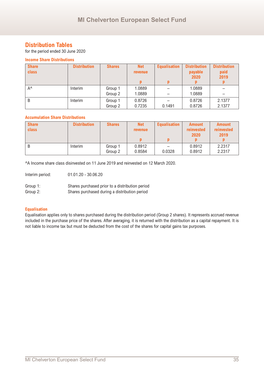## **Distribution Tables**

for the period ended 30 June 2020

#### **Income Share Distributions**

| <b>Share</b> | <b>Distribution</b> | <b>Shares</b> | <b>Net</b>     | <b>Equalisation</b> | <b>Distribution</b> | <b>Distribution</b> |
|--------------|---------------------|---------------|----------------|---------------------|---------------------|---------------------|
| class        |                     |               | <b>revenue</b> |                     | payable             | paid                |
|              |                     |               |                |                     | 2020                | 2019                |
|              |                     |               |                |                     |                     |                     |
| $A^{\wedge}$ | Interim             | Group 1       | 1.0889         |                     | 1.0889              |                     |
|              |                     | Group 2       | 1.0889         |                     | 1.0889              |                     |
| B            | Interim             | Group 1       | 0.8726         |                     | 0.8726              | 2.1377              |
|              |                     | Group 2       | 0.7235         | 0.1491              | 0.8726              | 2.1377              |

#### **Accumulation Share Distributions**

| <b>Share</b><br>class | <b>Distribution</b> | <b>Shares</b>      | <b>Net</b><br><b>revenue</b> | <b>Equalisation</b> | <b>Amount</b><br>reinvested<br>2020 | <b>Amount</b><br>reinvested<br>2019 |
|-----------------------|---------------------|--------------------|------------------------------|---------------------|-------------------------------------|-------------------------------------|
|                       |                     |                    |                              |                     |                                     |                                     |
|                       | Interim             | Group 1<br>Group 2 | 0.8912<br>0.8584             | -<br>0.0328         | 0.8912<br>0.8912                    | 2.2317<br>2.2317                    |

^A Income share class disinvested on 11 June 2019 and reinvested on 12 March 2020.

Interim period: 01.01.20 - 30.06.20

| Group 1: | Shares purchased prior to a distribution period |
|----------|-------------------------------------------------|
| Group 2: | Shares purchased during a distribution period   |

#### **Equalisation**

Equalisation applies only to shares purchased during the distribution period (Group 2 shares). It represents accrued revenue included in the purchase price of the shares. After averaging, it is returned with the distribution as a capital repayment. It is not liable to income tax but must be deducted from the cost of the shares for capital gains tax purposes.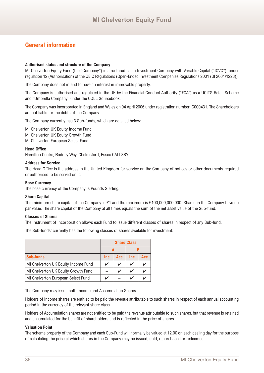## **General information**

#### **Authorised status and structure of the Company**

MI Chelverton Equity Fund (the "Company") is structured as an Investment Company with Variable Capital ("ICVC"), under regulation 12 (Authorisation) of the OEIC Regulations (Open-Ended Investment Companies Regulations 2001 (SI 2001/1228)).

The Company does not intend to have an interest in immovable property.

The Company is authorised and regulated in the UK by the Financial Conduct Authority ("FCA") as a UCITS Retail Scheme and "Umbrella Company" under the COLL Sourcebook.

The Company was incorporated in England and Wales on 04 April 2006 under registration number IC000431. The Shareholders are not liable for the debts of the Company.

The Company currently has 3 Sub-funds, which are detailed below:

MI Chelverton UK Equity Income Fund MI Chelverton UK Equity Growth Fund MI Chelverton European Select Fund

#### **Head Office**

Hamilton Centre, Rodney Way, Chelmsford, Essex CM1 3BY

#### **Address for Service**

The Head Office is the address in the United Kingdom for service on the Company of notices or other documents required or authorised to be served on it.

#### **Base Currency**

The base currency of the Company is Pounds Sterling.

#### **Share Capital**

The minimum share capital of the Company is £1 and the maximum is £100,000,000,000. Shares in the Company have no par value. The share capital of the Company at all times equals the sum of the net asset value of the Sub-fund.

#### **Classes of Shares**

The Instrument of Incorporation allows each Fund to issue different classes of shares in respect of any Sub-fund.

The Sub-funds' currently has the following classes of shares available for investment:

|                                     |            |            |            | <b>Share Class</b> |  |  |
|-------------------------------------|------------|------------|------------|--------------------|--|--|
|                                     |            |            |            |                    |  |  |
| <b>Sub-funds</b>                    | <b>Inc</b> | <b>Acc</b> | <b>Inc</b> | Acc                |  |  |
| MI Chelverton UK Equity Income Fund | ✔          | ✔          |            |                    |  |  |
| MI Chelverton UK Equity Growth Fund |            | ✔          |            |                    |  |  |
| MI Chelverton European Select Fund  |            |            |            |                    |  |  |

The Company may issue both Income and Accumulation Shares.

Holders of Income shares are entitled to be paid the revenue attributable to such shares in respect of each annual accounting period in the currency of the relevant share class.

Holders of Accumulation shares are not entitled to be paid the revenue attributable to such shares, but that revenue is retained and accumulated for the benefit of shareholders and is reflected in the price of shares.

#### **Valuation Point**

The scheme property of the Company and each Sub-Fund will normally be valued at 12.00 on each dealing day for the purpose of calculating the price at which shares in the Company may be issued, sold, repurchased or redeemed.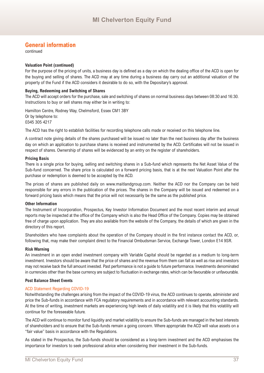## **General information**

continued

#### **Valuation Point (continued)**

For the purpose of the pricing of units, a business day is defined as a day on which the dealing office of the ACD is open for the buying and selling of shares. The ACD may at any time during a business day carry out an additional valuation of the property of the Fund if the ACD considers it desirable to do so, with the Depositary's approval.

#### **Buying, Redeeming and Switching of Shares**

The ACD will accept orders for the purchase, sale and switching of shares on normal business days between 08:30 and 16:30. Instructions to buy or sell shares may either be in writing to:

Hamilton Centre, Rodney Way, Chelmsford, Essex CM1 3BY Or by telephone to: 0345 305 4217

The ACD has the right to establish facilities for recording telephone calls made or received on this telephone line.

A contract note giving details of the shares purchased will be issued no later than the next business day after the business day on which an application to purchase shares is received and instrumented by the ACD. Certificates will not be issued in respect of shares. Ownership of shares will be evidenced by an entry on the register of shareholders.

#### **Pricing Basis**

There is a single price for buying, selling and switching shares in a Sub-fund which represents the Net Asset Value of the Sub-fund concerned. The share price is calculated on a forward pricing basis, that is at the next Valuation Point after the purchase or redemption is deemed to be accepted by the ACD.

The prices of shares are published daily on www.maitlandgroup.com. Neither the ACD nor the Company can be held responsible for any errors in the publication of the prices. The shares in the Company will be issued and redeemed on a forward pricing basis which means that the price will not necessarily be the same as the published price.

#### **Other Information**

The Instrument of Incorporation, Prospectus, Key Investor Information Document and the most recent interim and annual reports may be inspected at the office of the Company which is also the Head Office of the Company. Copies may be obtained free of charge upon application. They are also available from the website of the Company, the details of which are given in the directory of this report.

Shareholders who have complaints about the operation of the Company should in the first instance contact the ACD, or, following that, may make their complaint direct to the Financial Ombudsman Service, Exchange Tower, London E14 9SR.

#### **Risk Warning**

An investment in an open ended investment company with Variable Capital should be regarded as a medium to long-term investment. Investors should be aware that the price of shares and the revenue from them can fall as well as rise and investors may not receive back the full amount invested. Past performance is not a guide to future performance. Investments denominated in currencies other than the base currency are subject to fluctuation in exchange rates, which can be favourable or unfavourable.

#### **Post Balance Sheet Events**

#### ACD Statement Regarding COVID-19

Notwithstanding the challenges arising from the impact of the COVID-19 virus, the ACD continues to operate, administer and price the Sub-funds in accordance with FCA regulatory requirements and in accordance with relevant accounting standards. At the time of writing, investment markets are experiencing high levels of daily volatility and it is likely that this volatility will continue for the foreseeable future.

The ACD will continue to monitor fund liquidity and market volatility to ensure the Sub-funds are managed in the best interests of shareholders and to ensure that the Sub-funds remain a going concern. Where appropriate the ACD will value assets on a "fair value" basis in accordance with the Regulations.

As stated in the Prospectus, the Sub-funds should be considered as a long-term investment and the ACD emphasises the importance for investors to seek professional advice when considering their investment in the Sub-funds.